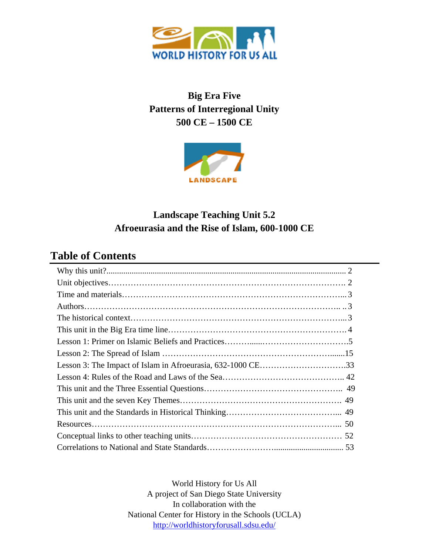

# **Big Era Five Patterns of Interregional Unity 500 CE – 1500 CE**



# **Landscape Teaching Unit 5.2 Afroeurasia and the Rise of Islam, 600-1000 CE**

# **Table of Contents**

World History for Us All A project of San Diego State University In collaboration with the National Center for History in the Schools (UCLA) http://worldhistoryforusall.sdsu.edu/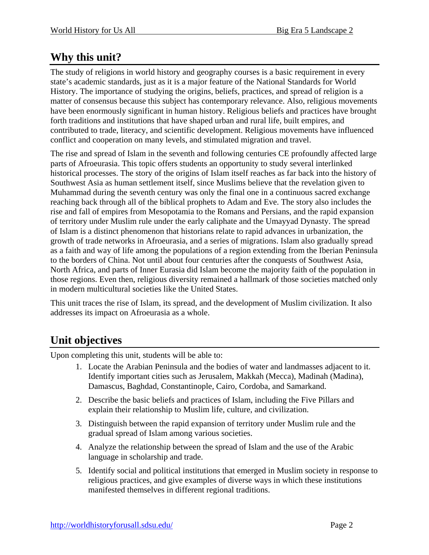# **Why this unit?**

The study of religions in world history and geography courses is a basic requirement in every state's academic standards, just as it is a major feature of the National Standards for World History. The importance of studying the origins, beliefs, practices, and spread of religion is a matter of consensus because this subject has contemporary relevance. Also, religious movements have been enormously significant in human history. Religious beliefs and practices have brought forth traditions and institutions that have shaped urban and rural life, built empires, and contributed to trade, literacy, and scientific development. Religious movements have influenced conflict and cooperation on many levels, and stimulated migration and travel.

The rise and spread of Islam in the seventh and following centuries CE profoundly affected large parts of Afroeurasia. This topic offers students an opportunity to study several interlinked historical processes. The story of the origins of Islam itself reaches as far back into the history of Southwest Asia as human settlement itself, since Muslims believe that the revelation given to Muhammad during the seventh century was only the final one in a continuous sacred exchange reaching back through all of the biblical prophets to Adam and Eve. The story also includes the rise and fall of empires from Mesopotamia to the Romans and Persians, and the rapid expansion of territory under Muslim rule under the early caliphate and the Umayyad Dynasty. The spread of Islam is a distinct phenomenon that historians relate to rapid advances in urbanization, the growth of trade networks in Afroeurasia, and a series of migrations. Islam also gradually spread as a faith and way of life among the populations of a region extending from the Iberian Peninsula to the borders of China. Not until about four centuries after the conquests of Southwest Asia, North Africa, and parts of Inner Eurasia did Islam become the majority faith of the population in those regions. Even then, religious diversity remained a hallmark of those societies matched only in modern multicultural societies like the United States.

This unit traces the rise of Islam, its spread, and the development of Muslim civilization. It also addresses its impact on Afroeurasia as a whole.

# **Unit objectives**

Upon completing this unit, students will be able to:

- 1. Locate the Arabian Peninsula and the bodies of water and landmasses adjacent to it. Identify important cities such as Jerusalem, Makkah (Mecca), Madinah (Madina), Damascus, Baghdad, Constantinople, Cairo, Cordoba, and Samarkand.
- 2. Describe the basic beliefs and practices of Islam, including the Five Pillars and explain their relationship to Muslim life, culture, and civilization.
- 3. Distinguish between the rapid expansion of territory under Muslim rule and the gradual spread of Islam among various societies.
- 4. Analyze the relationship between the spread of Islam and the use of the Arabic language in scholarship and trade.
- 5. Identify social and political institutions that emerged in Muslim society in response to religious practices, and give examples of diverse ways in which these institutions manifested themselves in different regional traditions.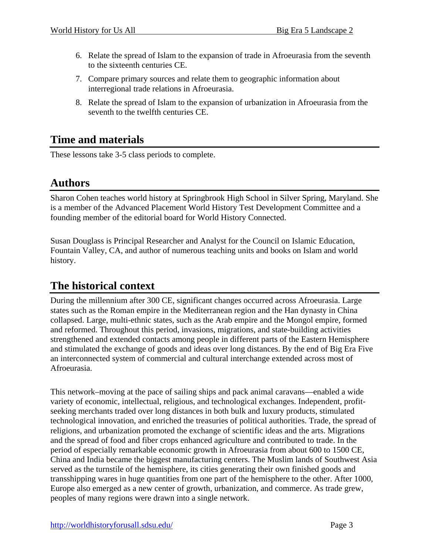- 6. Relate the spread of Islam to the expansion of trade in Afroeurasia from the seventh to the sixteenth centuries CE.
- 7. Compare primary sources and relate them to geographic information about interregional trade relations in Afroeurasia.
- 8. Relate the spread of Islam to the expansion of urbanization in Afroeurasia from the seventh to the twelfth centuries CE.

## **Time and materials**

These lessons take 3-5 class periods to complete.

## **Authors**

Sharon Cohen teaches world history at Springbrook High School in Silver Spring, Maryland. She is a member of the Advanced Placement World History Test Development Committee and a founding member of the editorial board for World History Connected.

Susan Douglass is Principal Researcher and Analyst for the Council on Islamic Education, Fountain Valley, CA, and author of numerous teaching units and books on Islam and world history.

## **The historical context**

During the millennium after 300 CE, significant changes occurred across Afroeurasia. Large states such as the Roman empire in the Mediterranean region and the Han dynasty in China collapsed. Large, multi-ethnic states, such as the Arab empire and the Mongol empire, formed and reformed. Throughout this period, invasions, migrations, and state-building activities strengthened and extended contacts among people in different parts of the Eastern Hemisphere and stimulated the exchange of goods and ideas over long distances. By the end of Big Era Five an interconnected system of commercial and cultural interchange extended across most of Afroeurasia.

This network–moving at the pace of sailing ships and pack animal caravans—enabled a wide variety of economic, intellectual, religious, and technological exchanges. Independent, profitseeking merchants traded over long distances in both bulk and luxury products, stimulated technological innovation, and enriched the treasuries of political authorities. Trade, the spread of religions, and urbanization promoted the exchange of scientific ideas and the arts. Migrations and the spread of food and fiber crops enhanced agriculture and contributed to trade. In the period of especially remarkable economic growth in Afroeurasia from about 600 to 1500 CE, China and India became the biggest manufacturing centers. The Muslim lands of Southwest Asia served as the turnstile of the hemisphere, its cities generating their own finished goods and transshipping wares in huge quantities from one part of the hemisphere to the other. After 1000, Europe also emerged as a new center of growth, urbanization, and commerce. As trade grew, peoples of many regions were drawn into a single network.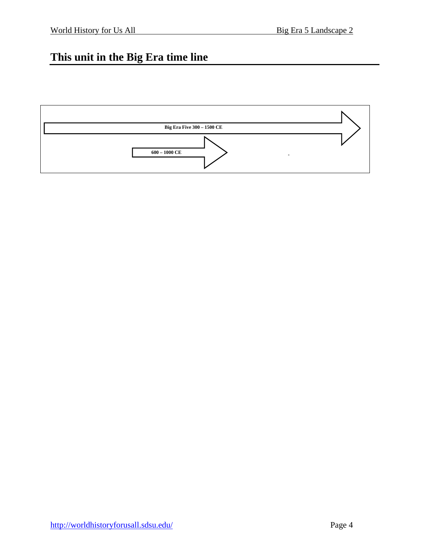# **This unit in the Big Era time line**

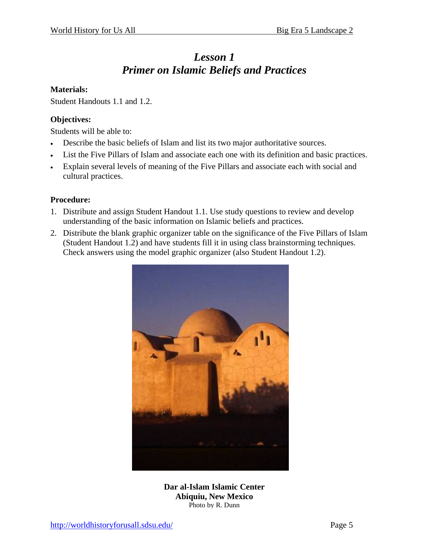# *Lesson 1 Primer on Islamic Beliefs and Practices*

#### **Materials:**

Student Handouts 1.1 and 1.2.

#### **Objectives:**

Students will be able to:

- Describe the basic beliefs of Islam and list its two major authoritative sources.
- List the Five Pillars of Islam and associate each one with its definition and basic practices.
- Explain several levels of meaning of the Five Pillars and associate each with social and cultural practices.

#### **Procedure:**

- 1. Distribute and assign Student Handout 1.1. Use study questions to review and develop understanding of the basic information on Islamic beliefs and practices.
- 2. Distribute the blank graphic organizer table on the significance of the Five Pillars of Islam (Student Handout 1.2) and have students fill it in using class brainstorming techniques. Check answers using the model graphic organizer (also Student Handout 1.2).



**Dar al-Islam Islamic Center Abiquiu, New Mexico**  Photo by R. Dunn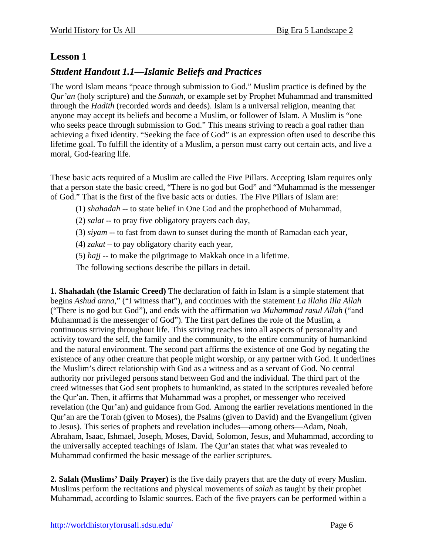### **Lesson 1**

## *Student Handout 1.1—Islamic Beliefs and Practices*

The word Islam means "peace through submission to God." Muslim practice is defined by the *Qur'an* (holy scripture) and the *Sunnah*, or example set by Prophet Muhammad and transmitted through the *Hadith* (recorded words and deeds). Islam is a universal religion, meaning that anyone may accept its beliefs and become a Muslim, or follower of Islam. A Muslim is "one who seeks peace through submission to God." This means striving to reach a goal rather than achieving a fixed identity. "Seeking the face of God" is an expression often used to describe this lifetime goal. To fulfill the identity of a Muslim, a person must carry out certain acts, and live a moral, God-fearing life.

These basic acts required of a Muslim are called the Five Pillars. Accepting Islam requires only that a person state the basic creed, "There is no god but God" and "Muhammad is the messenger of God." That is the first of the five basic acts or duties. The Five Pillars of Islam are:

- (1) *shahadah* -- to state belief in One God and the prophethood of Muhammad,
- (2) *salat* -- to pray five obligatory prayers each day,
- (3) *siyam* -- to fast from dawn to sunset during the month of Ramadan each year,

(4) *zakat* – to pay obligatory charity each year,

(5) *hajj* -- to make the pilgrimage to Makkah once in a lifetime.

The following sections describe the pillars in detail.

**1. Shahadah (the Islamic Creed)** The declaration of faith in Islam is a simple statement that begins *Ashud anna*," ("I witness that"), and continues with the statement *La illaha illa Allah* ("There is no god but God"), and ends with the affirmation *wa Muhammad rasul Allah* ("and Muhammad is the messenger of God"). The first part defines the role of the Muslim, a continuous striving throughout life. This striving reaches into all aspects of personality and activity toward the self, the family and the community, to the entire community of humankind and the natural environment. The second part affirms the existence of one God by negating the existence of any other creature that people might worship, or any partner with God. It underlines the Muslim's direct relationship with God as a witness and as a servant of God. No central authority nor privileged persons stand between God and the individual. The third part of the creed witnesses that God sent prophets to humankind, as stated in the scriptures revealed before the Qur'an. Then, it affirms that Muhammad was a prophet, or messenger who received revelation (the Qur'an) and guidance from God. Among the earlier revelations mentioned in the Qur'an are the Torah (given to Moses), the Psalms (given to David) and the Evangelium (given to Jesus). This series of prophets and revelation includes—among others—Adam, Noah, Abraham, Isaac, Ishmael, Joseph, Moses, David, Solomon, Jesus, and Muhammad, according to the universally accepted teachings of Islam. The Qur'an states that what was revealed to Muhammad confirmed the basic message of the earlier scriptures.

**2. Salah (Muslims' Daily Prayer)** is the five daily prayers that are the duty of every Muslim. Muslims perform the recitations and physical movements of *salah* as taught by their prophet Muhammad, according to Islamic sources. Each of the five prayers can be performed within a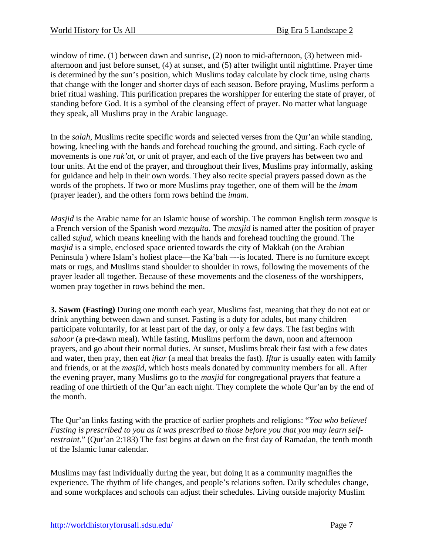window of time. (1) between dawn and sunrise, (2) noon to mid-afternoon, (3) between midafternoon and just before sunset, (4) at sunset, and (5) after twilight until nighttime. Prayer time is determined by the sun's position, which Muslims today calculate by clock time, using charts that change with the longer and shorter days of each season. Before praying, Muslims perform a brief ritual washing. This purification prepares the worshipper for entering the state of prayer, of standing before God. It is a symbol of the cleansing effect of prayer. No matter what language they speak, all Muslims pray in the Arabic language.

In the *salah*, Muslims recite specific words and selected verses from the Qur'an while standing, bowing, kneeling with the hands and forehead touching the ground, and sitting. Each cycle of movements is one *rak'at*, or unit of prayer, and each of the five prayers has between two and four units. At the end of the prayer, and throughout their lives, Muslims pray informally, asking for guidance and help in their own words. They also recite special prayers passed down as the words of the prophets. If two or more Muslims pray together, one of them will be the *imam* (prayer leader), and the others form rows behind the *imam*.

*Masjid* is the Arabic name for an Islamic house of worship. The common English term *mosque* is a French version of the Spanish word *mezquita*. The *masjid* is named after the position of prayer called *sujud*, which means kneeling with the hands and forehead touching the ground. The *masjid* is a simple, enclosed space oriented towards the city of Makkah (on the Arabian Peninsula ) where Islam's holiest place—the Ka'bah –--is located. There is no furniture except mats or rugs, and Muslims stand shoulder to shoulder in rows, following the movements of the prayer leader all together. Because of these movements and the closeness of the worshippers, women pray together in rows behind the men.

**3. Sawm (Fasting)** During one month each year, Muslims fast, meaning that they do not eat or drink anything between dawn and sunset. Fasting is a duty for adults, but many children participate voluntarily, for at least part of the day, or only a few days. The fast begins with *sahoor* (a pre-dawn meal). While fasting, Muslims perform the dawn, noon and afternoon prayers, and go about their normal duties. At sunset, Muslims break their fast with a few dates and water, then pray, then eat *iftar* (a meal that breaks the fast). *Iftar* is usually eaten with family and friends, or at the *masjid*, which hosts meals donated by community members for all. After the evening prayer, many Muslims go to the *masjid* for congregational prayers that feature a reading of one thirtieth of the Qur'an each night. They complete the whole Qur'an by the end of the month.

The Qur'an links fasting with the practice of earlier prophets and religions: "*You who believe! Fasting is prescribed to you as it was prescribed to those before you that you may learn selfrestraint.*" (Qur'an 2:183) The fast begins at dawn on the first day of Ramadan, the tenth month of the Islamic lunar calendar.

Muslims may fast individually during the year, but doing it as a community magnifies the experience. The rhythm of life changes, and people's relations soften. Daily schedules change, and some workplaces and schools can adjust their schedules. Living outside majority Muslim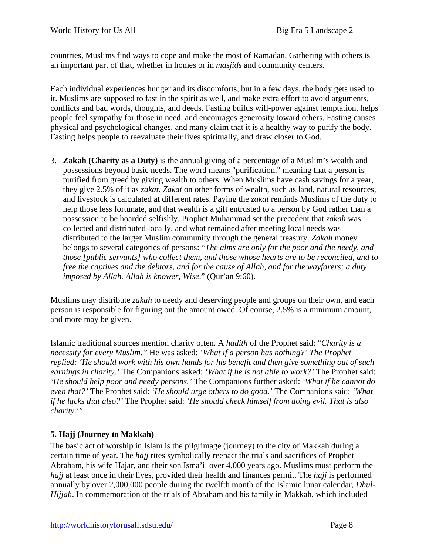countries, Muslims find ways to cope and make the most of Ramadan. Gathering with others is an important part of that, whether in homes or in *masjids* and community centers.

Each individual experiences hunger and its discomforts, but in a few days, the body gets used to it. Muslims are supposed to fast in the spirit as well, and make extra effort to avoid arguments, conflicts and bad words, thoughts, and deeds. Fasting builds will-power against temptation, helps people feel sympathy for those in need, and encourages generosity toward others. Fasting causes physical and psychological changes, and many claim that it is a healthy way to purify the body. Fasting helps people to reevaluate their lives spiritually, and draw closer to God.

3. **Zakah (Charity as a Duty)** is the annual giving of a percentage of a Muslim's wealth and possessions beyond basic needs. The word means "purification," meaning that a person is purified from greed by giving wealth to others. When Muslims have cash savings for a year, they give 2.5% of it as *zakat. Zakat* on other forms of wealth, such as land, natural resources, and livestock is calculated at different rates. Paying the *zakat* reminds Muslims of the duty to help those less fortunate, and that wealth is a gift entrusted to a person by God rather than a possession to be hoarded selfishly. Prophet Muhammad set the precedent that *zakah* was collected and distributed locally, and what remained after meeting local needs was distributed to the larger Muslim community through the general treasury. *Zakah* money belongs to several categories of persons: "*The alms are only for the poor and the needy, and those [public servants] who collect them, and those whose hearts are to be reconciled, and to free the captives and the debtors, and for the cause of Allah, and for the wayfarers; a duty imposed by Allah. Allah is knower, Wise*." (Qur'an 9:60).

Muslims may distribute *zakah* to needy and deserving people and groups on their own, and each person is responsible for figuring out the amount owed. Of course, 2.5% is a minimum amount, and more may be given.

Islamic traditional sources mention charity often. A *hadith* of the Prophet said: "*Charity is a necessity for every Muslim."* He was asked: *'What if a person has nothing?' The Prophet replied: 'He should work with his own hands for his benefit and then give something out of such earnings in charity.'* The Companions asked: *'What if he is not able to work?'* The Prophet said: *'He should help poor and needy persons.'* The Companions further asked: *'What if he cannot do even that?'* The Prophet said: *'He should urge others to do good.'* The Companions said: *'What if he lacks that also?'* The Prophet said: *'He should check himself from doing evil. That is also charity*.'"

### **5. Hajj (Journey to Makkah)**

The basic act of worship in Islam is the pilgrimage (journey) to the city of Makkah during a certain time of year. The *hajj* rites symbolically reenact the trials and sacrifices of Prophet Abraham, his wife Hajar, and their son Isma'il over 4,000 years ago. Muslims must perform the *hajj* at least once in their lives, provided their health and finances permit. The *hajj* is performed annually by over 2,000,000 people during the twelfth month of the Islamic lunar calendar, *Dhul-Hijjah*. In commemoration of the trials of Abraham and his family in Makkah, which included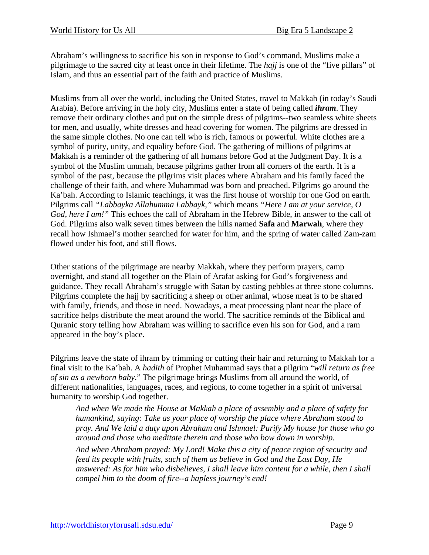Abraham's willingness to sacrifice his son in response to God's command, Muslims make a pilgrimage to the sacred city at least once in their lifetime. The *hajj* is one of the "five pillars" of Islam, and thus an essential part of the faith and practice of Muslims.

Muslims from all over the world, including the United States, travel to Makkah (in today's Saudi Arabia). Before arriving in the holy city, Muslims enter a state of being called *ihram*. They remove their ordinary clothes and put on the simple dress of pilgrims--two seamless white sheets for men, and usually, white dresses and head covering for women. The pilgrims are dressed in the same simple clothes. No one can tell who is rich, famous or powerful. White clothes are a symbol of purity, unity, and equality before God. The gathering of millions of pilgrims at Makkah is a reminder of the gathering of all humans before God at the Judgment Day. It is a symbol of the Muslim ummah, because pilgrims gather from all corners of the earth. It is a symbol of the past, because the pilgrims visit places where Abraham and his family faced the challenge of their faith, and where Muhammad was born and preached. Pilgrims go around the Ka'bah. According to Islamic teachings, it was the first house of worship for one God on earth. Pilgrims call *"Labbayka Allahumma Labbayk,"* which means *"Here I am at your service, O God, here I am!"* This echoes the call of Abraham in the Hebrew Bible, in answer to the call of God. Pilgrims also walk seven times between the hills named **Safa** and **Marwah**, where they recall how Ishmael's mother searched for water for him, and the spring of water called Zam-zam flowed under his foot, and still flows.

Other stations of the pilgrimage are nearby Makkah, where they perform prayers, camp overnight, and stand all together on the Plain of Arafat asking for God's forgiveness and guidance. They recall Abraham's struggle with Satan by casting pebbles at three stone columns. Pilgrims complete the hajj by sacrificing a sheep or other animal, whose meat is to be shared with family, friends, and those in need. Nowadays, a meat processing plant near the place of sacrifice helps distribute the meat around the world. The sacrifice reminds of the Biblical and Quranic story telling how Abraham was willing to sacrifice even his son for God, and a ram appeared in the boy's place.

Pilgrims leave the state of ihram by trimming or cutting their hair and returning to Makkah for a final visit to the Ka'bah. A *hadith* of Prophet Muhammad says that a pilgrim "*will return as free of sin as a newborn baby*." The pilgrimage brings Muslims from all around the world, of different nationalities, languages, races, and regions, to come together in a spirit of universal humanity to worship God together.

*And when We made the House at Makkah a place of assembly and a place of safety for humankind, saying: Take as your place of worship the place where Abraham stood to pray. And We laid a duty upon Abraham and Ishmael: Purify My house for those who go around and those who meditate therein and those who bow down in worship.* 

*And when Abraham prayed: My Lord! Make this a city of peace region of security and feed its people with fruits, such of them as believe in God and the Last Day, He answered: As for him who disbelieves, I shall leave him content for a while, then I shall compel him to the doom of fire--a hapless journey's end!*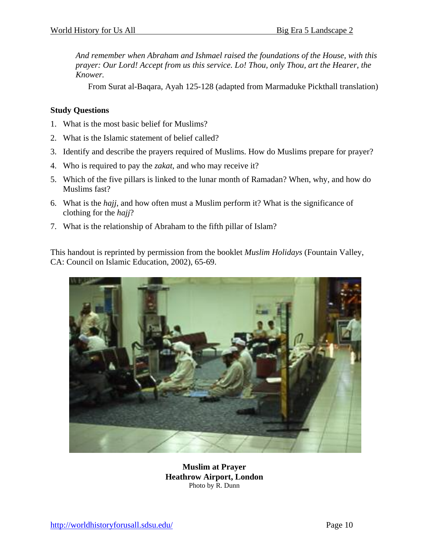*And remember when Abraham and Ishmael raised the foundations of the House, with this prayer: Our Lord! Accept from us this service. Lo! Thou, only Thou, art the Hearer, the Knower.*

From Surat al-Baqara, Ayah 125-128 (adapted from Marmaduke Pickthall translation)

#### **Study Questions**

- 1. What is the most basic belief for Muslims?
- 2. What is the Islamic statement of belief called?
- 3. Identify and describe the prayers required of Muslims. How do Muslims prepare for prayer?
- 4. Who is required to pay the *zakat*, and who may receive it?
- 5. Which of the five pillars is linked to the lunar month of Ramadan? When, why, and how do Muslims fast?
- 6. What is the *hajj*, and how often must a Muslim perform it? What is the significance of clothing for the *hajj*?
- 7. What is the relationship of Abraham to the fifth pillar of Islam?

This handout is reprinted by permission from the booklet *Muslim Holidays* (Fountain Valley, CA: Council on Islamic Education, 2002), 65-69.



**Muslim at Prayer Heathrow Airport, London**  Photo by R. Dunn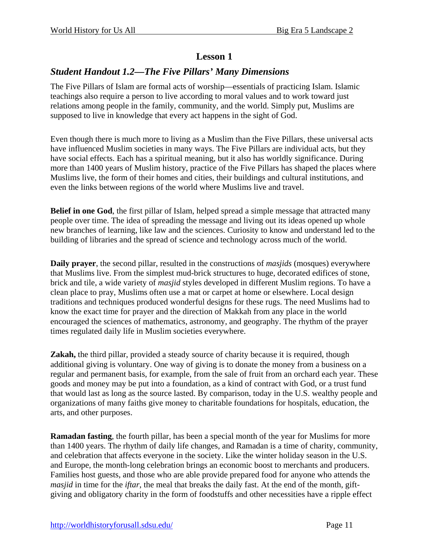## **Lesson 1**

## *Student Handout 1.2—The Five Pillars' Many Dimensions*

The Five Pillars of Islam are formal acts of worship—essentials of practicing Islam. Islamic teachings also require a person to live according to moral values and to work toward just relations among people in the family, community, and the world. Simply put, Muslims are supposed to live in knowledge that every act happens in the sight of God.

Even though there is much more to living as a Muslim than the Five Pillars, these universal acts have influenced Muslim societies in many ways. The Five Pillars are individual acts, but they have social effects. Each has a spiritual meaning, but it also has worldly significance. During more than 1400 years of Muslim history, practice of the Five Pillars has shaped the places where Muslims live, the form of their homes and cities, their buildings and cultural institutions, and even the links between regions of the world where Muslims live and travel.

**Belief in one God**, the first pillar of Islam, helped spread a simple message that attracted many people over time. The idea of spreading the message and living out its ideas opened up whole new branches of learning, like law and the sciences. Curiosity to know and understand led to the building of libraries and the spread of science and technology across much of the world.

**Daily prayer**, the second pillar, resulted in the constructions of *masjids* (mosques) everywhere that Muslims live. From the simplest mud-brick structures to huge, decorated edifices of stone, brick and tile, a wide variety of *masjid* styles developed in different Muslim regions. To have a clean place to pray, Muslims often use a mat or carpet at home or elsewhere. Local design traditions and techniques produced wonderful designs for these rugs. The need Muslims had to know the exact time for prayer and the direction of Makkah from any place in the world encouraged the sciences of mathematics, astronomy, and geography. The rhythm of the prayer times regulated daily life in Muslim societies everywhere.

**Zakah,** the third pillar, provided a steady source of charity because it is required, though additional giving is voluntary. One way of giving is to donate the money from a business on a regular and permanent basis, for example, from the sale of fruit from an orchard each year. These goods and money may be put into a foundation, as a kind of contract with God, or a trust fund that would last as long as the source lasted. By comparison, today in the U.S. wealthy people and organizations of many faiths give money to charitable foundations for hospitals, education, the arts, and other purposes.

**Ramadan fasting**, the fourth pillar, has been a special month of the year for Muslims for more than 1400 years. The rhythm of daily life changes, and Ramadan is a time of charity, community, and celebration that affects everyone in the society. Like the winter holiday season in the U.S. and Europe, the month-long celebration brings an economic boost to merchants and producers. Families host guests, and those who are able provide prepared food for anyone who attends the *masjid* in time for the *iftar*, the meal that breaks the daily fast. At the end of the month, giftgiving and obligatory charity in the form of foodstuffs and other necessities have a ripple effect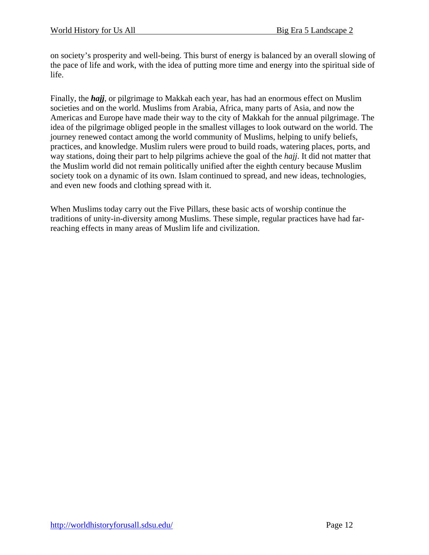on society's prosperity and well-being. This burst of energy is balanced by an overall slowing of the pace of life and work, with the idea of putting more time and energy into the spiritual side of life.

Finally, the *hajj*, or pilgrimage to Makkah each year, has had an enormous effect on Muslim societies and on the world. Muslims from Arabia, Africa, many parts of Asia, and now the Americas and Europe have made their way to the city of Makkah for the annual pilgrimage. The idea of the pilgrimage obliged people in the smallest villages to look outward on the world. The journey renewed contact among the world community of Muslims, helping to unify beliefs, practices, and knowledge. Muslim rulers were proud to build roads, watering places, ports, and way stations, doing their part to help pilgrims achieve the goal of the *hajj*. It did not matter that the Muslim world did not remain politically unified after the eighth century because Muslim society took on a dynamic of its own. Islam continued to spread, and new ideas, technologies, and even new foods and clothing spread with it.

When Muslims today carry out the Five Pillars, these basic acts of worship continue the traditions of unity-in-diversity among Muslims. These simple, regular practices have had farreaching effects in many areas of Muslim life and civilization.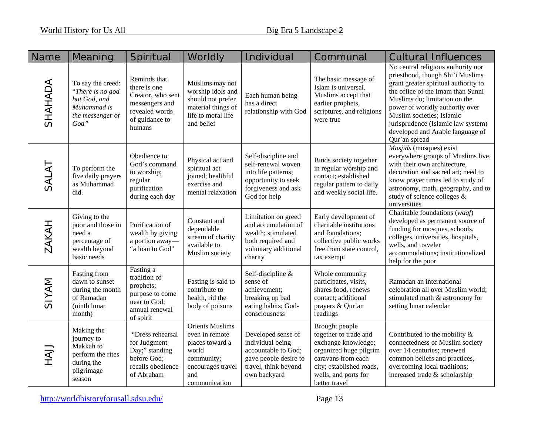| <b>Name</b>  | Meaning                                                                                          | Spiritual                                                                                                         | Worldly                                                                                                                         | Individual                                                                                                                     | Communal                                                                                                                                                                            | <b>Cultural Influences</b>                                                                                                                                                                                                                                                                                                                      |
|--------------|--------------------------------------------------------------------------------------------------|-------------------------------------------------------------------------------------------------------------------|---------------------------------------------------------------------------------------------------------------------------------|--------------------------------------------------------------------------------------------------------------------------------|-------------------------------------------------------------------------------------------------------------------------------------------------------------------------------------|-------------------------------------------------------------------------------------------------------------------------------------------------------------------------------------------------------------------------------------------------------------------------------------------------------------------------------------------------|
| SHAHADA      | To say the creed:<br>"There is no god<br>but God, and<br>Muhammad is<br>the messenger of<br>God" | Reminds that<br>there is one<br>Creator, who sent<br>messengers and<br>revealed words<br>of guidance to<br>humans | Muslims may not<br>worship idols and<br>should not prefer<br>material things of<br>life to moral life<br>and belief             | Each human being<br>has a direct<br>relationship with God                                                                      | The basic message of<br>Islam is universal.<br>Muslims accept that<br>earlier prophets,<br>scriptures, and religions<br>were true                                                   | No central religious authority nor<br>priesthood, though Shi'i Muslims<br>grant greater spiritual authority to<br>the office of the Imam than Sunni<br>Muslims do; limitation on the<br>power of worldly authority over<br>Muslim societies; Islamic<br>jurisprudence (Islamic law system)<br>developed and Arabic language of<br>Qur'an spread |
| SALAT        | To perform the<br>five daily prayers<br>as Muhammad<br>did.                                      | Obedience to<br>God's command<br>to worship;<br>regular<br>purification<br>during each day                        | Physical act and<br>spiritual act<br>joined; healthful<br>exercise and<br>mental relaxation                                     | Self-discipline and<br>self-renewal woven<br>into life patterns;<br>opportunity to seek<br>forgiveness and ask<br>God for help | Binds society together<br>in regular worship and<br>contact; established<br>regular pattern to daily<br>and weekly social life.                                                     | Masjids (mosques) exist<br>everywhere groups of Muslims live,<br>with their own architecture,<br>decoration and sacred art; need to<br>know prayer times led to study of<br>astronomy, math, geography, and to<br>study of science colleges &<br>universities                                                                                   |
| <b>ZAKAH</b> | Giving to the<br>poor and those in<br>need a<br>percentage of<br>wealth beyond<br>basic needs    | Purification of<br>wealth by giving<br>a portion away-<br>"a loan to God"                                         | Constant and<br>dependable<br>stream of charity<br>available to<br>Muslim society                                               | Limitation on greed<br>and accumulation of<br>wealth; stimulated<br>both required and<br>voluntary additional<br>charity       | Early development of<br>charitable institutions<br>and foundations;<br>collective public works<br>free from state control,<br>tax exempt                                            | Charitable foundations (waqf)<br>developed as permanent source of<br>funding for mosques, schools,<br>colleges, universities, hospitals,<br>wells, and traveler<br>accommodations; institutionalized<br>help for the poor                                                                                                                       |
| <b>SIYAM</b> | Fasting from<br>dawn to sunset<br>during the month<br>of Ramadan<br>(ninth lunar<br>month)       | Fasting a<br>tradition of<br>prophets;<br>purpose to come<br>near to God;<br>annual renewal<br>of spirit          | Fasting is said to<br>contribute to<br>health, rid the<br>body of poisons                                                       | Self-discipline &<br>sense of<br>achievement;<br>breaking up bad<br>eating habits; God-<br>consciousness                       | Whole community<br>participates, visits,<br>shares food, renews<br>contact; additional<br>prayers & Qur'an<br>readings                                                              | Ramadan an international<br>celebration all over Muslim world;<br>stimulated math & astronomy for<br>setting lunar calendar                                                                                                                                                                                                                     |
| <b>HAJJ</b>  | Making the<br>journey to<br>Makkah to<br>perform the rites<br>during the<br>pilgrimage<br>season | "Dress rehearsal<br>for Judgment<br>Day;" standing<br>before God;<br>recalls obedience<br>of Abraham              | <b>Orients Muslims</b><br>even in remote<br>places toward a<br>world<br>community;<br>encourages travel<br>and<br>communication | Developed sense of<br>individual being<br>accountable to God;<br>gave people desire to<br>travel, think beyond<br>own backyard | Brought people<br>together to trade and<br>exchange knowledge;<br>organized huge pilgrim<br>caravans from each<br>city; established roads,<br>wells, and ports for<br>better travel | Contributed to the mobility $\&$<br>connectedness of Muslim society<br>over 14 centuries; renewed<br>common beliefs and practices,<br>overcoming local traditions;<br>increased trade & scholarship                                                                                                                                             |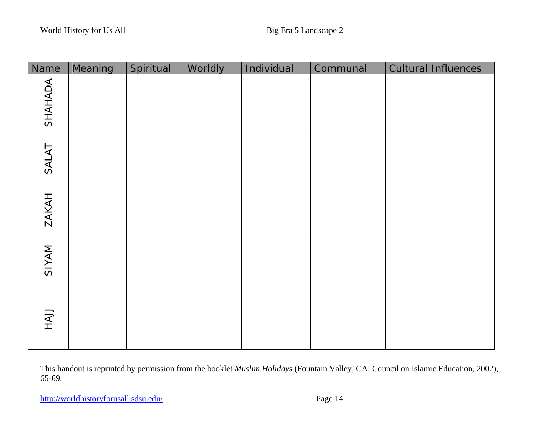| Name         | Meaning | Spiritual | Worldly | Individual | Communal | <b>Cultural Influences</b> |
|--------------|---------|-----------|---------|------------|----------|----------------------------|
| SHAHADA      |         |           |         |            |          |                            |
| SALAT        |         |           |         |            |          |                            |
| <b>ZAKAH</b> |         |           |         |            |          |                            |
| SIYAM        |         |           |         |            |          |                            |
| <b>LIAH</b>  |         |           |         |            |          |                            |

This handout is reprinted by permission from the booklet *Muslim Holidays* (Fountain Valley, CA: Council on Islamic Education, 2002), 65-69.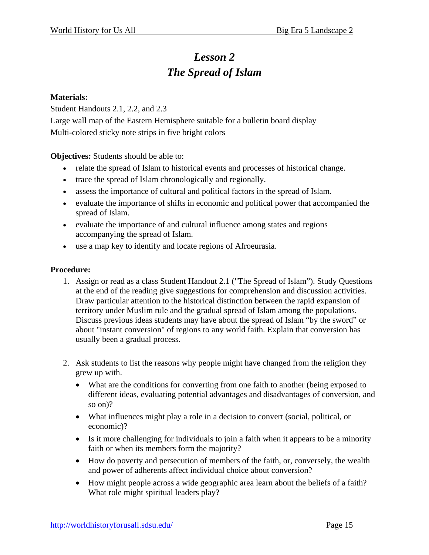# *Lesson 2 The Spread of Islam*

#### **Materials:**

Student Handouts 2.1, 2.2, and 2.3 Large wall map of the Eastern Hemisphere suitable for a bulletin board display Multi-colored sticky note strips in five bright colors

**Objectives:** Students should be able to:

- relate the spread of Islam to historical events and processes of historical change.
- trace the spread of Islam chronologically and regionally.
- assess the importance of cultural and political factors in the spread of Islam.
- evaluate the importance of shifts in economic and political power that accompanied the spread of Islam.
- evaluate the importance of and cultural influence among states and regions accompanying the spread of Islam.
- use a map key to identify and locate regions of Afroeurasia.

#### **Procedure:**

- 1. Assign or read as a class Student Handout 2.1 ("The Spread of Islam"). Study Questions at the end of the reading give suggestions for comprehension and discussion activities. Draw particular attention to the historical distinction between the rapid expansion of territory under Muslim rule and the gradual spread of Islam among the populations. Discuss previous ideas students may have about the spread of Islam "by the sword" or about "instant conversion" of regions to any world faith. Explain that conversion has usually been a gradual process.
- 2. Ask students to list the reasons why people might have changed from the religion they grew up with.
	- What are the conditions for converting from one faith to another (being exposed to different ideas, evaluating potential advantages and disadvantages of conversion, and so on)?
	- What influences might play a role in a decision to convert (social, political, or economic)?
	- Is it more challenging for individuals to join a faith when it appears to be a minority faith or when its members form the majority?
	- How do poverty and persecution of members of the faith, or, conversely, the wealth and power of adherents affect individual choice about conversion?
	- How might people across a wide geographic area learn about the beliefs of a faith? What role might spiritual leaders play?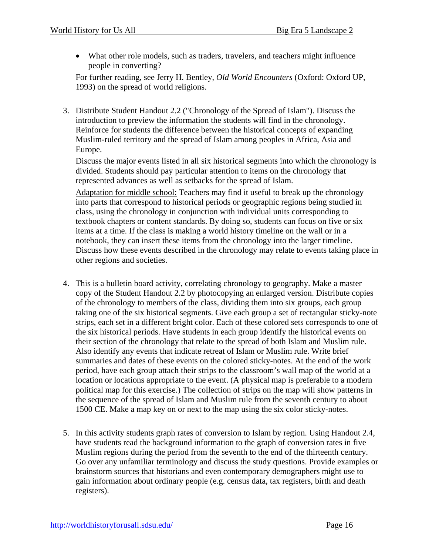• What other role models, such as traders, travelers, and teachers might influence people in converting?

For further reading, see Jerry H. Bentley, *Old World Encounters* (Oxford: Oxford UP, 1993) on the spread of world religions.

3. Distribute Student Handout 2.2 ("Chronology of the Spread of Islam"). Discuss the introduction to preview the information the students will find in the chronology. Reinforce for students the difference between the historical concepts of expanding Muslim-ruled territory and the spread of Islam among peoples in Africa, Asia and Europe.

Discuss the major events listed in all six historical segments into which the chronology is divided. Students should pay particular attention to items on the chronology that represented advances as well as setbacks for the spread of Islam.

Adaptation for middle school: Teachers may find it useful to break up the chronology into parts that correspond to historical periods or geographic regions being studied in class, using the chronology in conjunction with individual units corresponding to textbook chapters or content standards. By doing so, students can focus on five or six items at a time. If the class is making a world history timeline on the wall or in a notebook, they can insert these items from the chronology into the larger timeline. Discuss how these events described in the chronology may relate to events taking place in other regions and societies.

- 4. This is a bulletin board activity, correlating chronology to geography. Make a master copy of the Student Handout 2.2 by photocopying an enlarged version. Distribute copies of the chronology to members of the class, dividing them into six groups, each group taking one of the six historical segments. Give each group a set of rectangular sticky-note strips, each set in a different bright color. Each of these colored sets corresponds to one of the six historical periods. Have students in each group identify the historical events on their section of the chronology that relate to the spread of both Islam and Muslim rule. Also identify any events that indicate retreat of Islam or Muslim rule. Write brief summaries and dates of these events on the colored sticky-notes. At the end of the work period, have each group attach their strips to the classroom's wall map of the world at a location or locations appropriate to the event. (A physical map is preferable to a modern political map for this exercise.) The collection of strips on the map will show patterns in the sequence of the spread of Islam and Muslim rule from the seventh century to about 1500 CE. Make a map key on or next to the map using the six color sticky-notes.
- 5. In this activity students graph rates of conversion to Islam by region. Using Handout 2.4, have students read the background information to the graph of conversion rates in five Muslim regions during the period from the seventh to the end of the thirteenth century. Go over any unfamiliar terminology and discuss the study questions. Provide examples or brainstorm sources that historians and even contemporary demographers might use to gain information about ordinary people (e.g. census data, tax registers, birth and death registers).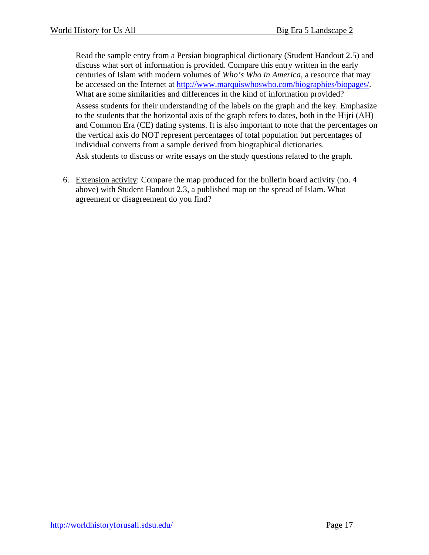Read the sample entry from a Persian biographical dictionary (Student Handout 2.5) and discuss what sort of information is provided. Compare this entry written in the early centuries of Islam with modern volumes of *Who's Who in America*, a resource that may be accessed on the Internet at http://www.marquiswhoswho.com/biographies/biopages/. What are some similarities and differences in the kind of information provided?

Assess students for their understanding of the labels on the graph and the key. Emphasize to the students that the horizontal axis of the graph refers to dates, both in the Hijri (AH) and Common Era (CE) dating systems. It is also important to note that the percentages on the vertical axis do NOT represent percentages of total population but percentages of individual converts from a sample derived from biographical dictionaries.

Ask students to discuss or write essays on the study questions related to the graph.

6. Extension activity: Compare the map produced for the bulletin board activity (no. 4 above) with Student Handout 2.3, a published map on the spread of Islam. What agreement or disagreement do you find?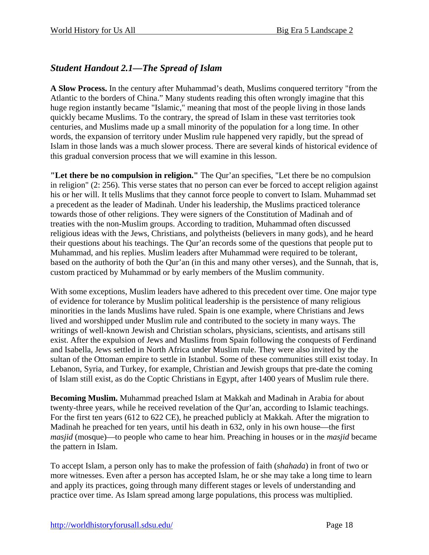## *Student Handout 2.1—The Spread of Islam*

**A Slow Process.** In the century after Muhammad's death, Muslims conquered territory "from the Atlantic to the borders of China." Many students reading this often wrongly imagine that this huge region instantly became "Islamic," meaning that most of the people living in those lands quickly became Muslims. To the contrary, the spread of Islam in these vast territories took centuries, and Muslims made up a small minority of the population for a long time. In other words, the expansion of territory under Muslim rule happened very rapidly, but the spread of Islam in those lands was a much slower process. There are several kinds of historical evidence of this gradual conversion process that we will examine in this lesson.

**"Let there be no compulsion in religion."** The Qur'an specifies, "Let there be no compulsion in religion" (2: 256). This verse states that no person can ever be forced to accept religion against his or her will. It tells Muslims that they cannot force people to convert to Islam. Muhammad set a precedent as the leader of Madinah. Under his leadership, the Muslims practiced tolerance towards those of other religions. They were signers of the Constitution of Madinah and of treaties with the non-Muslim groups. According to tradition, Muhammad often discussed religious ideas with the Jews, Christians, and polytheists (believers in many gods), and he heard their questions about his teachings. The Qur'an records some of the questions that people put to Muhammad, and his replies. Muslim leaders after Muhammad were required to be tolerant, based on the authority of both the Qur'an (in this and many other verses), and the Sunnah, that is, custom practiced by Muhammad or by early members of the Muslim community.

With some exceptions, Muslim leaders have adhered to this precedent over time. One major type of evidence for tolerance by Muslim political leadership is the persistence of many religious minorities in the lands Muslims have ruled. Spain is one example, where Christians and Jews lived and worshipped under Muslim rule and contributed to the society in many ways. The writings of well-known Jewish and Christian scholars, physicians, scientists, and artisans still exist. After the expulsion of Jews and Muslims from Spain following the conquests of Ferdinand and Isabella, Jews settled in North Africa under Muslim rule. They were also invited by the sultan of the Ottoman empire to settle in Istanbul. Some of these communities still exist today. In Lebanon, Syria, and Turkey, for example, Christian and Jewish groups that pre-date the coming of Islam still exist, as do the Coptic Christians in Egypt, after 1400 years of Muslim rule there.

**Becoming Muslim.** Muhammad preached Islam at Makkah and Madinah in Arabia for about twenty-three years, while he received revelation of the Qur'an, according to Islamic teachings. For the first ten years (612 to 622 CE), he preached publicly at Makkah. After the migration to Madinah he preached for ten years, until his death in 632, only in his own house—the first *masjid* (mosque)—to people who came to hear him. Preaching in houses or in the *masjid* became the pattern in Islam.

To accept Islam, a person only has to make the profession of faith (*shahada*) in front of two or more witnesses. Even after a person has accepted Islam, he or she may take a long time to learn and apply its practices, going through many different stages or levels of understanding and practice over time. As Islam spread among large populations, this process was multiplied.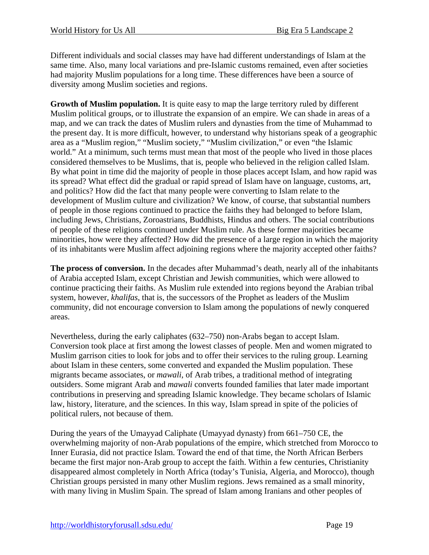Different individuals and social classes may have had different understandings of Islam at the same time. Also, many local variations and pre-Islamic customs remained, even after societies had majority Muslim populations for a long time. These differences have been a source of diversity among Muslim societies and regions.

**Growth of Muslim population.** It is quite easy to map the large territory ruled by different Muslim political groups, or to illustrate the expansion of an empire. We can shade in areas of a map, and we can track the dates of Muslim rulers and dynasties from the time of Muhammad to the present day. It is more difficult, however, to understand why historians speak of a geographic area as a "Muslim region," "Muslim society," "Muslim civilization," or even "the Islamic world." At a minimum, such terms must mean that most of the people who lived in those places considered themselves to be Muslims, that is, people who believed in the religion called Islam. By what point in time did the majority of people in those places accept Islam, and how rapid was its spread? What effect did the gradual or rapid spread of Islam have on language, customs, art, and politics? How did the fact that many people were converting to Islam relate to the development of Muslim culture and civilization? We know, of course, that substantial numbers of people in those regions continued to practice the faiths they had belonged to before Islam, including Jews, Christians, Zoroastrians, Buddhists, Hindus and others. The social contributions of people of these religions continued under Muslim rule. As these former majorities became minorities, how were they affected? How did the presence of a large region in which the majority of its inhabitants were Muslim affect adjoining regions where the majority accepted other faiths?

**The process of conversion.** In the decades after Muhammad's death, nearly all of the inhabitants of Arabia accepted Islam, except Christian and Jewish communities, which were allowed to continue practicing their faiths. As Muslim rule extended into regions beyond the Arabian tribal system, however*, khalifas*, that is, the successors of the Prophet as leaders of the Muslim community, did not encourage conversion to Islam among the populations of newly conquered areas.

Nevertheless, during the early caliphates (632–750) non-Arabs began to accept Islam. Conversion took place at first among the lowest classes of people. Men and women migrated to Muslim garrison cities to look for jobs and to offer their services to the ruling group. Learning about Islam in these centers, some converted and expanded the Muslim population. These migrants became associates, or *mawali*, of Arab tribes, a traditional method of integrating outsiders. Some migrant Arab and *mawali* converts founded families that later made important contributions in preserving and spreading Islamic knowledge. They became scholars of Islamic law, history, literature, and the sciences. In this way, Islam spread in spite of the policies of political rulers, not because of them.

During the years of the Umayyad Caliphate (Umayyad dynasty) from 661–750 CE, the overwhelming majority of non-Arab populations of the empire, which stretched from Morocco to Inner Eurasia, did not practice Islam. Toward the end of that time, the North African Berbers became the first major non-Arab group to accept the faith. Within a few centuries, Christianity disappeared almost completely in North Africa (today's Tunisia, Algeria, and Morocco), though Christian groups persisted in many other Muslim regions. Jews remained as a small minority, with many living in Muslim Spain. The spread of Islam among Iranians and other peoples of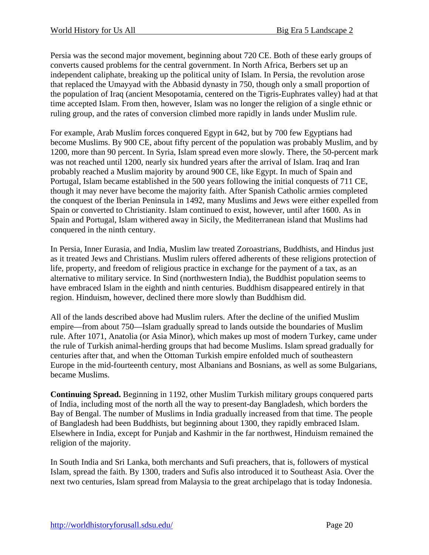Persia was the second major movement, beginning about 720 CE. Both of these early groups of converts caused problems for the central government. In North Africa, Berbers set up an independent caliphate, breaking up the political unity of Islam. In Persia, the revolution arose that replaced the Umayyad with the Abbasid dynasty in 750, though only a small proportion of the population of Iraq (ancient Mesopotamia, centered on the Tigris-Euphrates valley) had at that time accepted Islam. From then, however, Islam was no longer the religion of a single ethnic or ruling group, and the rates of conversion climbed more rapidly in lands under Muslim rule.

For example, Arab Muslim forces conquered Egypt in 642, but by 700 few Egyptians had become Muslims. By 900 CE, about fifty percent of the population was probably Muslim, and by 1200, more than 90 percent. In Syria, Islam spread even more slowly. There, the 50-percent mark was not reached until 1200, nearly six hundred years after the arrival of Islam. Iraq and Iran probably reached a Muslim majority by around 900 CE, like Egypt. In much of Spain and Portugal, Islam became established in the 500 years following the initial conquests of 711 CE, though it may never have become the majority faith. After Spanish Catholic armies completed the conquest of the Iberian Peninsula in 1492, many Muslims and Jews were either expelled from Spain or converted to Christianity. Islam continued to exist, however, until after 1600. As in Spain and Portugal, Islam withered away in Sicily, the Mediterranean island that Muslims had conquered in the ninth century.

In Persia, Inner Eurasia, and India, Muslim law treated Zoroastrians, Buddhists, and Hindus just as it treated Jews and Christians. Muslim rulers offered adherents of these religions protection of life, property, and freedom of religious practice in exchange for the payment of a tax, as an alternative to military service. In Sind (northwestern India), the Buddhist population seems to have embraced Islam in the eighth and ninth centuries. Buddhism disappeared entirely in that region. Hinduism, however, declined there more slowly than Buddhism did.

All of the lands described above had Muslim rulers. After the decline of the unified Muslim empire—from about 750—Islam gradually spread to lands outside the boundaries of Muslim rule. After 1071, Anatolia (or Asia Minor), which makes up most of modern Turkey, came under the rule of Turkish animal-herding groups that had become Muslims. Islam spread gradually for centuries after that, and when the Ottoman Turkish empire enfolded much of southeastern Europe in the mid-fourteenth century, most Albanians and Bosnians, as well as some Bulgarians, became Muslims.

**Continuing Spread.** Beginning in 1192, other Muslim Turkish military groups conquered parts of India, including most of the north all the way to present-day Bangladesh, which borders the Bay of Bengal. The number of Muslims in India gradually increased from that time. The people of Bangladesh had been Buddhists, but beginning about 1300, they rapidly embraced Islam. Elsewhere in India, except for Punjab and Kashmir in the far northwest, Hinduism remained the religion of the majority.

In South India and Sri Lanka, both merchants and Sufi preachers, that is, followers of mystical Islam, spread the faith. By 1300, traders and Sufis also introduced it to Southeast Asia. Over the next two centuries, Islam spread from Malaysia to the great archipelago that is today Indonesia.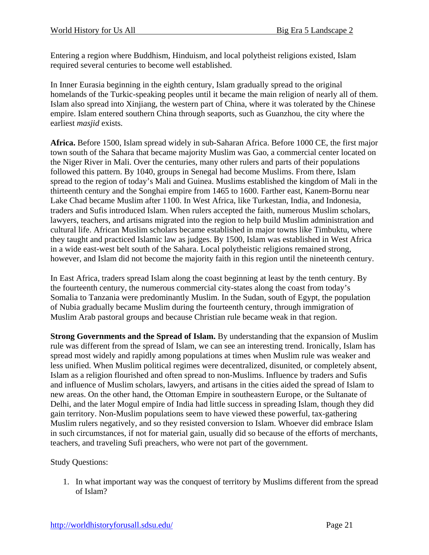Entering a region where Buddhism, Hinduism, and local polytheist religions existed, Islam required several centuries to become well established.

In Inner Eurasia beginning in the eighth century, Islam gradually spread to the original homelands of the Turkic-speaking peoples until it became the main religion of nearly all of them. Islam also spread into Xinjiang, the western part of China, where it was tolerated by the Chinese empire. Islam entered southern China through seaports, such as Guanzhou, the city where the earliest *masjid* exists.

**Africa.** Before 1500, Islam spread widely in sub-Saharan Africa. Before 1000 CE, the first major town south of the Sahara that became majority Muslim was Gao, a commercial center located on the Niger River in Mali. Over the centuries, many other rulers and parts of their populations followed this pattern. By 1040, groups in Senegal had become Muslims. From there, Islam spread to the region of today's Mali and Guinea. Muslims established the kingdom of Mali in the thirteenth century and the Songhai empire from 1465 to 1600. Farther east, Kanem-Bornu near Lake Chad became Muslim after 1100. In West Africa, like Turkestan, India, and Indonesia, traders and Sufis introduced Islam. When rulers accepted the faith, numerous Muslim scholars, lawyers, teachers, and artisans migrated into the region to help build Muslim administration and cultural life. African Muslim scholars became established in major towns like Timbuktu, where they taught and practiced Islamic law as judges. By 1500, Islam was established in West Africa in a wide east-west belt south of the Sahara. Local polytheistic religions remained strong, however, and Islam did not become the majority faith in this region until the nineteenth century.

In East Africa, traders spread Islam along the coast beginning at least by the tenth century. By the fourteenth century, the numerous commercial city-states along the coast from today's Somalia to Tanzania were predominantly Muslim. In the Sudan, south of Egypt, the population of Nubia gradually became Muslim during the fourteenth century, through immigration of Muslim Arab pastoral groups and because Christian rule became weak in that region.

**Strong Governments and the Spread of Islam.** By understanding that the expansion of Muslim rule was different from the spread of Islam, we can see an interesting trend. Ironically, Islam has spread most widely and rapidly among populations at times when Muslim rule was weaker and less unified. When Muslim political regimes were decentralized, disunited, or completely absent, Islam as a religion flourished and often spread to non-Muslims. Influence by traders and Sufis and influence of Muslim scholars, lawyers, and artisans in the cities aided the spread of Islam to new areas. On the other hand, the Ottoman Empire in southeastern Europe, or the Sultanate of Delhi, and the later Mogul empire of India had little success in spreading Islam, though they did gain territory. Non-Muslim populations seem to have viewed these powerful, tax-gathering Muslim rulers negatively, and so they resisted conversion to Islam. Whoever did embrace Islam in such circumstances, if not for material gain, usually did so because of the efforts of merchants, teachers, and traveling Sufi preachers, who were not part of the government.

Study Questions:

1. In what important way was the conquest of territory by Muslims different from the spread of Islam?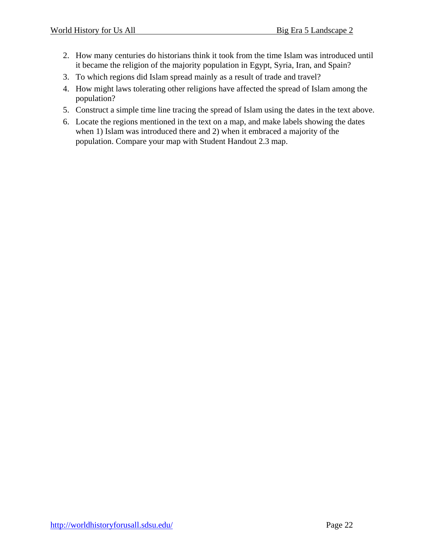- 2. How many centuries do historians think it took from the time Islam was introduced until it became the religion of the majority population in Egypt, Syria, Iran, and Spain?
- 3. To which regions did Islam spread mainly as a result of trade and travel?
- 4. How might laws tolerating other religions have affected the spread of Islam among the population?
- 5. Construct a simple time line tracing the spread of Islam using the dates in the text above.
- 6. Locate the regions mentioned in the text on a map, and make labels showing the dates when 1) Islam was introduced there and 2) when it embraced a majority of the population. Compare your map with Student Handout 2.3 map.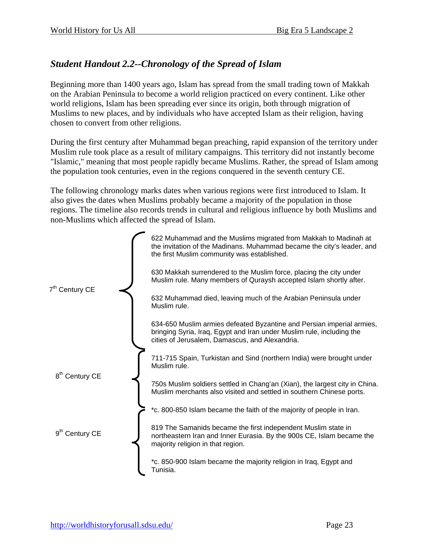## *Student Handout 2.2--Chronology of the Spread of Islam*

Beginning more than 1400 years ago, Islam has spread from the small trading town of Makkah on the Arabian Peninsula to become a world religion practiced on every continent. Like other world religions, Islam has been spreading ever since its origin, both through migration of Muslims to new places, and by individuals who have accepted Islam as their religion, having chosen to convert from other religions.

During the first century after Muhammad began preaching, rapid expansion of the territory under Muslim rule took place as a result of military campaigns. This territory did not instantly become "Islamic," meaning that most people rapidly became Muslims. Rather, the spread of Islam among the population took centuries, even in the regions conquered in the seventh century CE.

The following chronology marks dates when various regions were first introduced to Islam. It also gives the dates when Muslims probably became a majority of the population in those regions. The timeline also records trends in cultural and religious influence by both Muslims and non-Muslims which affected the spread of Islam.

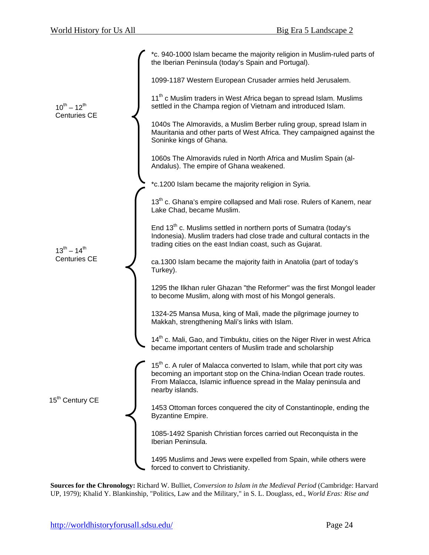

**Sources for the Chronology:** Richard W. Bulliet, *Conversion to Islam in the Medieval Period* (Cambridge: Harvard UP, 1979); Khalid Y. Blankinship, "Politics, Law and the Military," in S. L. Douglass, ed., *World Eras: Rise and*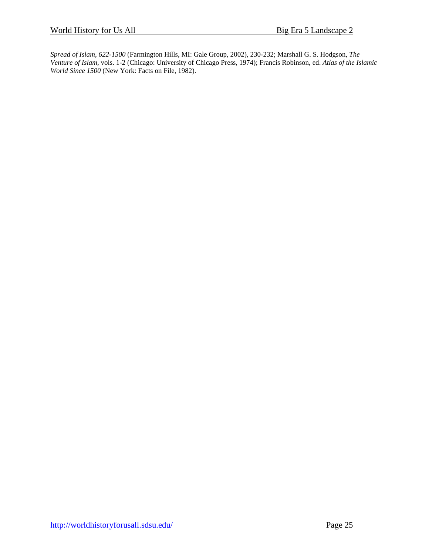*Spread of Islam, 622-1500* (Farmington Hills, MI: Gale Group, 2002), 230-232; Marshall G. S. Hodgson, *The Venture of Islam,* vols. 1-2 (Chicago: University of Chicago Press, 1974); Francis Robinson, ed. *Atlas of the Islamic World Since 1500* (New York: Facts on File, 1982).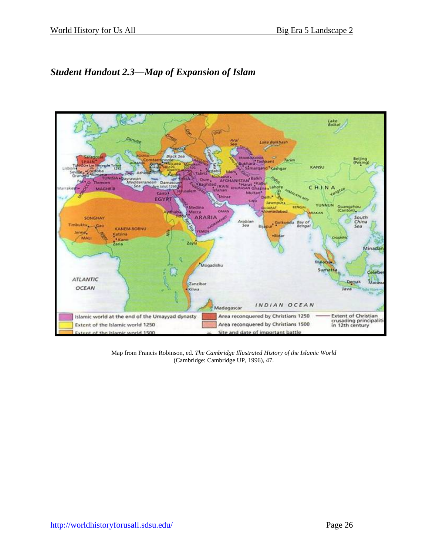



Map from Francis Robinson, ed. *The Cambridge Illustrated History of the Islamic World*  (Cambridge: Cambridge UP, 1996), 47.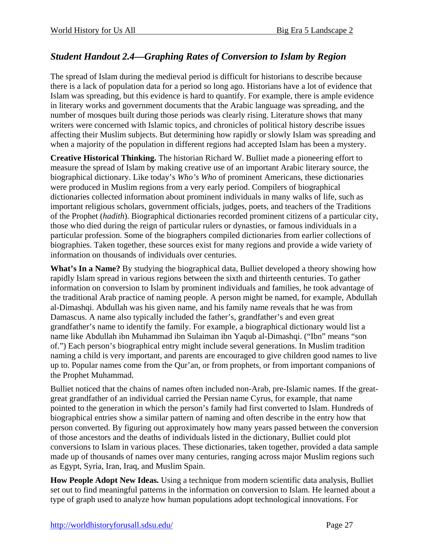## *Student Handout 2.4—Graphing Rates of Conversion to Islam by Region*

The spread of Islam during the medieval period is difficult for historians to describe because there is a lack of population data for a period so long ago. Historians have a lot of evidence that Islam was spreading, but this evidence is hard to quantify. For example, there is ample evidence in literary works and government documents that the Arabic language was spreading, and the number of mosques built during those periods was clearly rising. Literature shows that many writers were concerned with Islamic topics, and chronicles of political history describe issues affecting their Muslim subjects. But determining how rapidly or slowly Islam was spreading and when a majority of the population in different regions had accepted Islam has been a mystery.

**Creative Historical Thinking.** The historian Richard W. Bulliet made a pioneering effort to measure the spread of Islam by making creative use of an important Arabic literary source, the biographical dictionary. Like today's *Who's Who* of prominent Americans, these dictionaries were produced in Muslim regions from a very early period. Compilers of biographical dictionaries collected information about prominent individuals in many walks of life, such as important religious scholars, government officials, judges, poets, and teachers of the Traditions of the Prophet (*hadith*). Biographical dictionaries recorded prominent citizens of a particular city, those who died during the reign of particular rulers or dynasties, or famous individuals in a particular profession. Some of the biographers compiled dictionaries from earlier collections of biographies. Taken together, these sources exist for many regions and provide a wide variety of information on thousands of individuals over centuries.

**What's In a Name?** By studying the biographical data, Bulliet developed a theory showing how rapidly Islam spread in various regions between the sixth and thirteenth centuries. To gather information on conversion to Islam by prominent individuals and families, he took advantage of the traditional Arab practice of naming people. A person might be named, for example, Abdullah al-Dimashqi. Abdullah was his given name, and his family name reveals that he was from Damascus. A name also typically included the father's, grandfather's and even great grandfather's name to identify the family. For example, a biographical dictionary would list a name like Abdullah ibn Muhammad ibn Sulaiman ibn Yaqub al-Dimashqi. ("Ibn" means "son of.") Each person's biographical entry might include several generations. In Muslim tradition naming a child is very important, and parents are encouraged to give children good names to live up to. Popular names come from the Qur'an, or from prophets, or from important companions of the Prophet Muhammad.

Bulliet noticed that the chains of names often included non-Arab, pre-Islamic names. If the greatgreat grandfather of an individual carried the Persian name Cyrus, for example, that name pointed to the generation in which the person's family had first converted to Islam. Hundreds of biographical entries show a similar pattern of naming and often describe in the entry how that person converted. By figuring out approximately how many years passed between the conversion of those ancestors and the deaths of individuals listed in the dictionary, Bulliet could plot conversions to Islam in various places. These dictionaries, taken together, provided a data sample made up of thousands of names over many centuries, ranging across major Muslim regions such as Egypt, Syria, Iran, Iraq, and Muslim Spain.

**How People Adopt New Ideas.** Using a technique from modern scientific data analysis, Bulliet set out to find meaningful patterns in the information on conversion to Islam. He learned about a type of graph used to analyze how human populations adopt technological innovations. For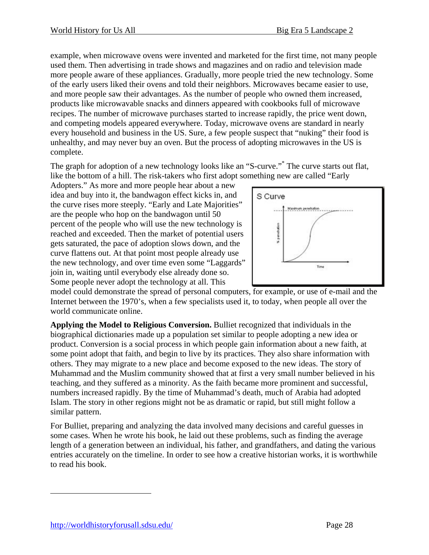example, when microwave ovens were invented and marketed for the first time, not many people used them. Then advertising in trade shows and magazines and on radio and television made more people aware of these appliances. Gradually, more people tried the new technology. Some of the early users liked their ovens and told their neighbors. Microwaves became easier to use, and more people saw their advantages. As the number of people who owned them increased, products like microwavable snacks and dinners appeared with cookbooks full of microwave recipes. The number of microwave purchases started to increase rapidly, the price went down, and competing models appeared everywhere. Today, microwave ovens are standard in nearly every household and business in the US. Sure, a few people suspect that "nuking" their food is unhealthy, and may never buy an oven. But the process of adopting microwaves in the US is complete.

The graph for adoption of a new technology looks like an "S-curve."<sup>\*</sup> The curve starts out flat, like the bottom of a hill. The risk-takers who first adopt something new are called "Early

Adopters." As more and more people hear about a new idea and buy into it, the bandwagon effect kicks in, and the curve rises more steeply. "Early and Late Majorities" are the people who hop on the bandwagon until 50 percent of the people who will use the new technology is reached and exceeded. Then the market of potential users gets saturated, the pace of adoption slows down, and the curve flattens out. At that point most people already use the new technology, and over time even some "Laggards" join in, waiting until everybody else already done so. Some people never adopt the technology at all. This



model could demonstrate the spread of personal computers, for example, or use of e-mail and the Internet between the 1970's, when a few specialists used it, to today, when people all over the world communicate online.

**Applying the Model to Religious Conversion.** Bulliet recognized that individuals in the biographical dictionaries made up a population set similar to people adopting a new idea or product. Conversion is a social process in which people gain information about a new faith, at some point adopt that faith, and begin to live by its practices. They also share information with others. They may migrate to a new place and become exposed to the new ideas. The story of Muhammad and the Muslim community showed that at first a very small number believed in his teaching, and they suffered as a minority. As the faith became more prominent and successful, numbers increased rapidly. By the time of Muhammad's death, much of Arabia had adopted Islam. The story in other regions might not be as dramatic or rapid, but still might follow a similar pattern.

For Bulliet, preparing and analyzing the data involved many decisions and careful guesses in some cases. When he wrote his book, he laid out these problems, such as finding the average length of a generation between an individual, his father, and grandfathers, and dating the various entries accurately on the timeline. In order to see how a creative historian works, it is worthwhile to read his book.

 $\overline{a}$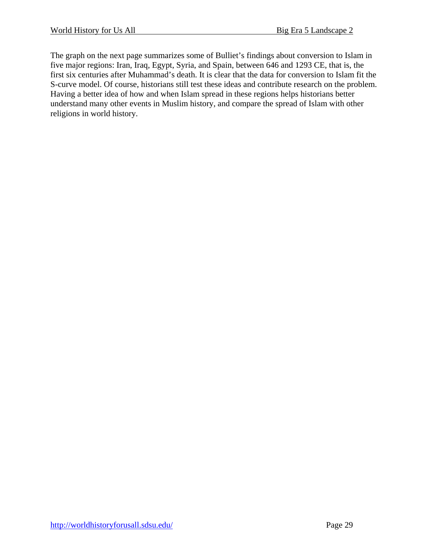The graph on the next page summarizes some of Bulliet's findings about conversion to Islam in five major regions: Iran, Iraq, Egypt, Syria, and Spain, between 646 and 1293 CE, that is, the first six centuries after Muhammad's death. It is clear that the data for conversion to Islam fit the S-curve model. Of course, historians still test these ideas and contribute research on the problem. Having a better idea of how and when Islam spread in these regions helps historians better understand many other events in Muslim history, and compare the spread of Islam with other religions in world history.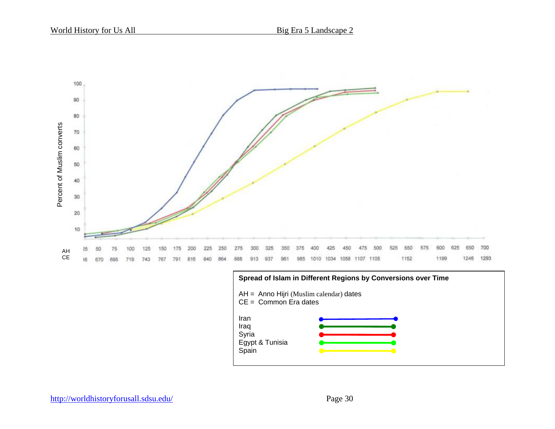

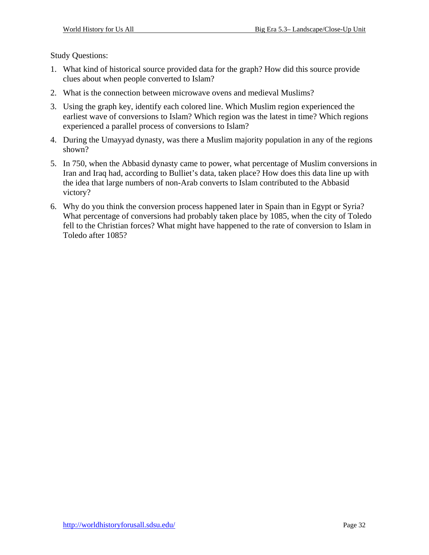Study Questions:

- 1. What kind of historical source provided data for the graph? How did this source provide clues about when people converted to Islam?
- 2. What is the connection between microwave ovens and medieval Muslims?
- 3. Using the graph key, identify each colored line. Which Muslim region experienced the earliest wave of conversions to Islam? Which region was the latest in time? Which regions experienced a parallel process of conversions to Islam?
- 4. During the Umayyad dynasty, was there a Muslim majority population in any of the regions shown?
- 5. In 750, when the Abbasid dynasty came to power, what percentage of Muslim conversions in Iran and Iraq had, according to Bulliet's data, taken place? How does this data line up with the idea that large numbers of non-Arab converts to Islam contributed to the Abbasid victory?
- 6. Why do you think the conversion process happened later in Spain than in Egypt or Syria? What percentage of conversions had probably taken place by 1085, when the city of Toledo fell to the Christian forces? What might have happened to the rate of conversion to Islam in Toledo after 1085?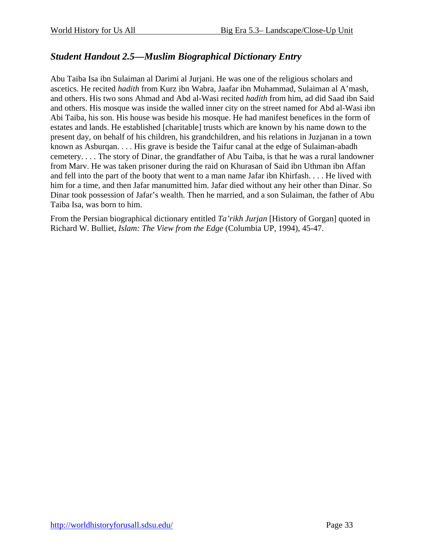## *Student Handout 2.5—Muslim Biographical Dictionary Entry*

Abu Taiba Isa ibn Sulaiman al Darimi al Jurjani. He was one of the religious scholars and ascetics. He recited *hadith* from Kurz ibn Wabra, Jaafar ibn Muhammad, Sulaiman al A'mash, and others. His two sons Ahmad and Abd al-Wasi recited *hadith* from him, ad did Saad ibn Said and others. His mosque was inside the walled inner city on the street named for Abd al-Wasi ibn Abi Taiba, his son. His house was beside his mosque. He had manifest benefices in the form of estates and lands. He established [charitable] trusts which are known by his name down to the present day, on behalf of his children, his grandchildren, and his relations in Juzjanan in a town known as Asburqan. . . . His grave is beside the Taifur canal at the edge of Sulaiman-abadh cemetery. . . . The story of Dinar, the grandfather of Abu Taiba, is that he was a rural landowner from Marv. He was taken prisoner during the raid on Khurasan of Said ibn Uthman ibn Affan and fell into the part of the booty that went to a man name Jafar ibn Khirfash. . . . He lived with him for a time, and then Jafar manumitted him. Jafar died without any heir other than Dinar. So Dinar took possession of Jafar's wealth. Then he married, and a son Sulaiman, the father of Abu Taiba Isa, was born to him.

From the Persian biographical dictionary entitled *Ta'rikh Jurjan* [History of Gorgan] quoted in Richard W. Bulliet, *Islam: The View from the Edge* (Columbia UP, 1994), 45-47.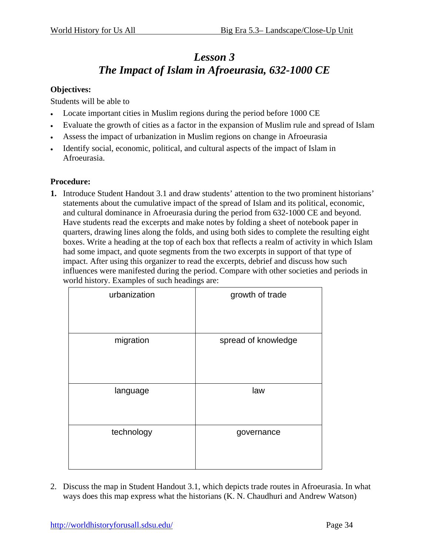# *Lesson 3 The Impact of Islam in Afroeurasia, 632-1000 CE*

#### **Objectives:**

Students will be able to

- Locate important cities in Muslim regions during the period before 1000 CE
- Evaluate the growth of cities as a factor in the expansion of Muslim rule and spread of Islam
- Assess the impact of urbanization in Muslim regions on change in Afroeurasia
- Identify social, economic, political, and cultural aspects of the impact of Islam in Afroeurasia.

#### **Procedure:**

**1.** Introduce Student Handout 3.1 and draw students' attention to the two prominent historians' statements about the cumulative impact of the spread of Islam and its political, economic, and cultural dominance in Afroeurasia during the period from 632-1000 CE and beyond. Have students read the excerpts and make notes by folding a sheet of notebook paper in quarters, drawing lines along the folds, and using both sides to complete the resulting eight boxes. Write a heading at the top of each box that reflects a realm of activity in which Islam had some impact, and quote segments from the two excerpts in support of that type of impact. After using this organizer to read the excerpts, debrief and discuss how such influences were manifested during the period. Compare with other societies and periods in world history. Examples of such headings are:

| urbanization | growth of trade     |
|--------------|---------------------|
| migration    | spread of knowledge |
| language     | law                 |
| technology   | governance          |

2. Discuss the map in Student Handout 3.1, which depicts trade routes in Afroeurasia. In what ways does this map express what the historians (K. N. Chaudhuri and Andrew Watson)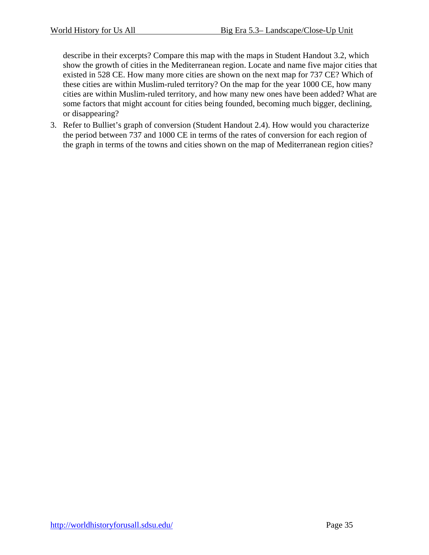describe in their excerpts? Compare this map with the maps in Student Handout 3.2, which show the growth of cities in the Mediterranean region. Locate and name five major cities that existed in 528 CE. How many more cities are shown on the next map for 737 CE? Which of these cities are within Muslim-ruled territory? On the map for the year 1000 CE, how many cities are within Muslim-ruled territory, and how many new ones have been added? What are some factors that might account for cities being founded, becoming much bigger, declining, or disappearing?

3. Refer to Bulliet's graph of conversion (Student Handout 2.4). How would you characterize the period between 737 and 1000 CE in terms of the rates of conversion for each region of the graph in terms of the towns and cities shown on the map of Mediterranean region cities?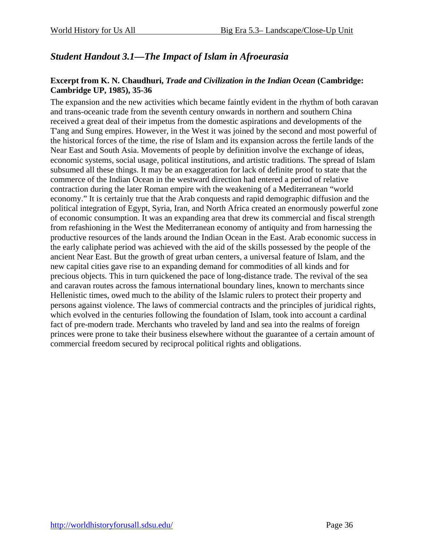## *Student Handout 3.1—The Impact of Islam in Afroeurasia*

#### **Excerpt from K. N. Chaudhuri,** *Trade and Civilization in the Indian Ocean* **(Cambridge: Cambridge UP, 1985), 35-36**

The expansion and the new activities which became faintly evident in the rhythm of both caravan and trans-oceanic trade from the seventh century onwards in northern and southern China received a great deal of their impetus from the domestic aspirations and developments of the T'ang and Sung empires. However, in the West it was joined by the second and most powerful of the historical forces of the time, the rise of Islam and its expansion across the fertile lands of the Near East and South Asia. Movements of people by definition involve the exchange of ideas, economic systems, social usage, political institutions, and artistic traditions. The spread of Islam subsumed all these things. It may be an exaggeration for lack of definite proof to state that the commerce of the Indian Ocean in the westward direction had entered a period of relative contraction during the later Roman empire with the weakening of a Mediterranean "world economy." It is certainly true that the Arab conquests and rapid demographic diffusion and the political integration of Egypt, Syria, Iran, and North Africa created an enormously powerful zone of economic consumption. It was an expanding area that drew its commercial and fiscal strength from refashioning in the West the Mediterranean economy of antiquity and from harnessing the productive resources of the lands around the Indian Ocean in the East. Arab economic success in the early caliphate period was achieved with the aid of the skills possessed by the people of the ancient Near East. But the growth of great urban centers, a universal feature of Islam, and the new capital cities gave rise to an expanding demand for commodities of all kinds and for precious objects. This in turn quickened the pace of long-distance trade. The revival of the sea and caravan routes across the famous international boundary lines, known to merchants since Hellenistic times, owed much to the ability of the Islamic rulers to protect their property and persons against violence. The laws of commercial contracts and the principles of juridical rights, which evolved in the centuries following the foundation of Islam, took into account a cardinal fact of pre-modern trade. Merchants who traveled by land and sea into the realms of foreign princes were prone to take their business elsewhere without the guarantee of a certain amount of commercial freedom secured by reciprocal political rights and obligations.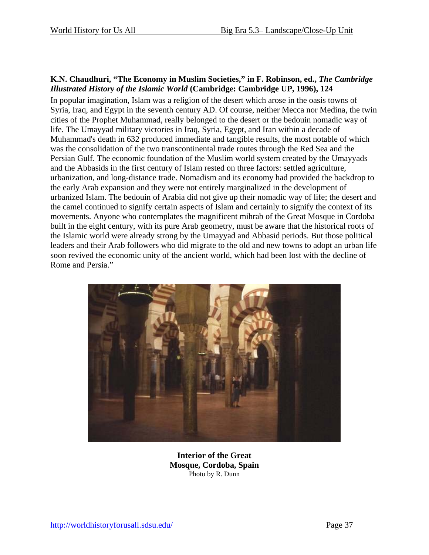#### **K.N. Chaudhuri, "The Economy in Muslim Societies," in F. Robinson, ed.,** *The Cambridge Illustrated History of the Islamic World* **(Cambridge: Cambridge UP, 1996), 124**

In popular imagination, Islam was a religion of the desert which arose in the oasis towns of Syria, Iraq, and Egypt in the seventh century AD. Of course, neither Mecca nor Medina, the twin cities of the Prophet Muhammad, really belonged to the desert or the bedouin nomadic way of life. The Umayyad military victories in Iraq, Syria, Egypt, and Iran within a decade of Muhammad's death in 632 produced immediate and tangible results, the most notable of which was the consolidation of the two transcontinental trade routes through the Red Sea and the Persian Gulf. The economic foundation of the Muslim world system created by the Umayyads and the Abbasids in the first century of Islam rested on three factors: settled agriculture, urbanization, and long-distance trade. Nomadism and its economy had provided the backdrop to the early Arab expansion and they were not entirely marginalized in the development of urbanized Islam. The bedouin of Arabia did not give up their nomadic way of life; the desert and the camel continued to signify certain aspects of Islam and certainly to signify the context of its movements. Anyone who contemplates the magnificent mihrab of the Great Mosque in Cordoba built in the eight century, with its pure Arab geometry, must be aware that the historical roots of the Islamic world were already strong by the Umayyad and Abbasid periods. But those political leaders and their Arab followers who did migrate to the old and new towns to adopt an urban life soon revived the economic unity of the ancient world, which had been lost with the decline of Rome and Persia."



**Interior of the Great Mosque, Cordoba, Spain** Photo by R. Dunn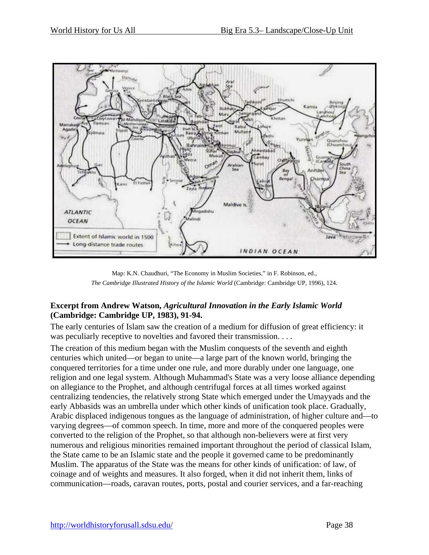

Map: K.N. Chaudhuri, "The Economy in Muslim Societies," in F. Robinson, ed., *The Cambridge Illustrated History of the Islamic World* (Cambridge: Cambridge UP, 1996), 124.

### **Excerpt from Andrew Watson,** *Agricultural Innovation in the Early Islamic World* **(Cambridge: Cambridge UP, 1983), 91-94.**

The early centuries of Islam saw the creation of a medium for diffusion of great efficiency: it was peculiarly receptive to novelties and favored their transmission. . . .

The creation of this medium began with the Muslim conquests of the seventh and eighth centuries which united—or began to unite—a large part of the known world, bringing the conquered territories for a time under one rule, and more durably under one language, one religion and one legal system. Although Muhammad's State was a very loose alliance depending on allegiance to the Prophet, and although centrifugal forces at all times worked against centralizing tendencies, the relatively strong State which emerged under the Umayyads and the early Abbasids was an umbrella under which other kinds of unification took place. Gradually, Arabic displaced indigenous tongues as the language of administration, of higher culture and—to varying degrees—of common speech. In time, more and more of the conquered peoples were converted to the religion of the Prophet, so that although non-believers were at first very numerous and religious minorities remained important throughout the period of classical Islam, the State came to be an Islamic state and the people it governed came to be predominantly Muslim. The apparatus of the State was the means for other kinds of unification: of law, of coinage and of weights and measures. It also forged, when it did not inherit them, links of communication—roads, caravan routes, ports, postal and courier services, and a far-reaching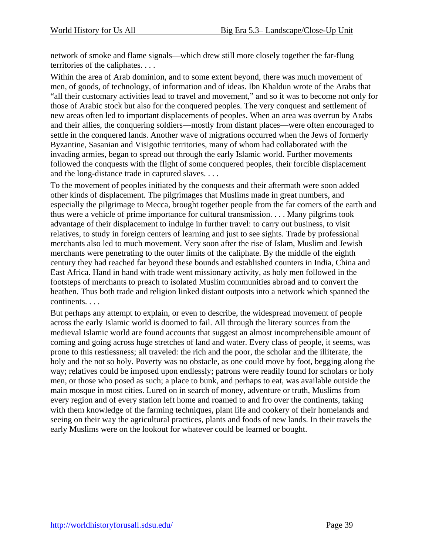network of smoke and flame signals—which drew still more closely together the far-flung territories of the caliphates. . . .

Within the area of Arab dominion, and to some extent beyond, there was much movement of men, of goods, of technology, of information and of ideas. Ibn Khaldun wrote of the Arabs that "all their customary activities lead to travel and movement," and so it was to become not only for those of Arabic stock but also for the conquered peoples. The very conquest and settlement of new areas often led to important displacements of peoples. When an area was overrun by Arabs and their allies, the conquering soldiers—mostly from distant places—were often encouraged to settle in the conquered lands. Another wave of migrations occurred when the Jews of formerly Byzantine, Sasanian and Visigothic territories, many of whom had collaborated with the invading armies, began to spread out through the early Islamic world. Further movements followed the conquests with the flight of some conquered peoples, their forcible displacement and the long-distance trade in captured slaves. . . .

To the movement of peoples initiated by the conquests and their aftermath were soon added other kinds of displacement. The pilgrimages that Muslims made in great numbers, and especially the pilgrimage to Mecca, brought together people from the far corners of the earth and thus were a vehicle of prime importance for cultural transmission. . . . Many pilgrims took advantage of their displacement to indulge in further travel: to carry out business, to visit relatives, to study in foreign centers of learning and just to see sights. Trade by professional merchants also led to much movement. Very soon after the rise of Islam, Muslim and Jewish merchants were penetrating to the outer limits of the caliphate. By the middle of the eighth century they had reached far beyond these bounds and established counters in India, China and East Africa. Hand in hand with trade went missionary activity, as holy men followed in the footsteps of merchants to preach to isolated Muslim communities abroad and to convert the heathen. Thus both trade and religion linked distant outposts into a network which spanned the continents. . . .

But perhaps any attempt to explain, or even to describe, the widespread movement of people across the early Islamic world is doomed to fail. All through the literary sources from the medieval Islamic world are found accounts that suggest an almost incomprehensible amount of coming and going across huge stretches of land and water. Every class of people, it seems, was prone to this restlessness; all traveled: the rich and the poor, the scholar and the illiterate, the holy and the not so holy. Poverty was no obstacle, as one could move by foot, begging along the way; relatives could be imposed upon endlessly; patrons were readily found for scholars or holy men, or those who posed as such; a place to bunk, and perhaps to eat, was available outside the main mosque in most cities. Lured on in search of money, adventure or truth, Muslims from every region and of every station left home and roamed to and fro over the continents, taking with them knowledge of the farming techniques, plant life and cookery of their homelands and seeing on their way the agricultural practices, plants and foods of new lands. In their travels the early Muslims were on the lookout for whatever could be learned or bought.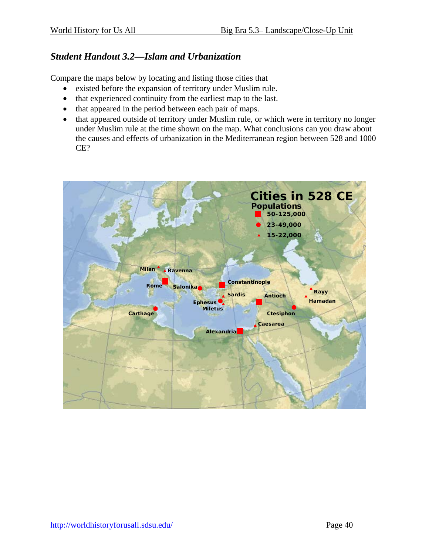### *Student Handout 3.2—Islam and Urbanization*

Compare the maps below by locating and listing those cities that

- existed before the expansion of territory under Muslim rule.
- that experienced continuity from the earliest map to the last.
- that appeared in the period between each pair of maps.
- that appeared outside of territory under Muslim rule, or which were in territory no longer under Muslim rule at the time shown on the map. What conclusions can you draw about the causes and effects of urbanization in the Mediterranean region between 528 and 1000 CE?

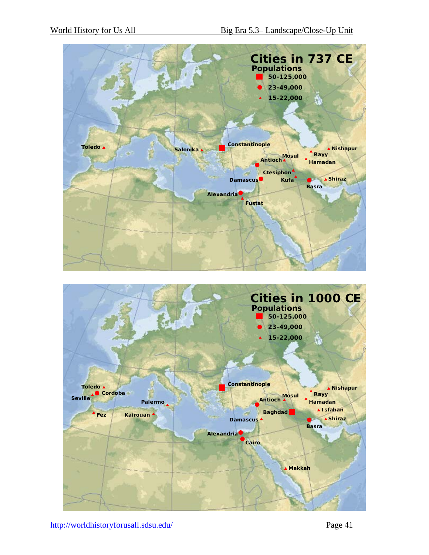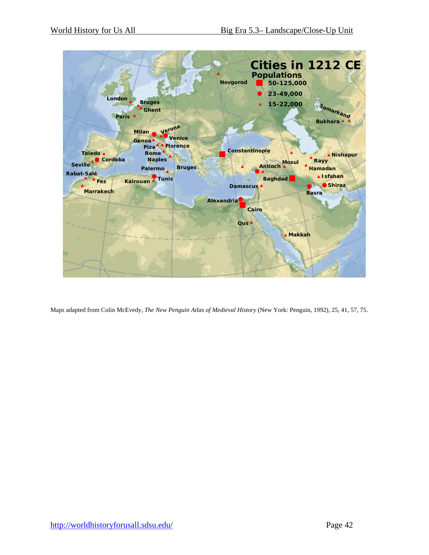

Maps adapted from Colin McEvedy, *The New Penguin Atlas of Medieval History* (New York: Penguin, 1992), 25, 41, 57, 75.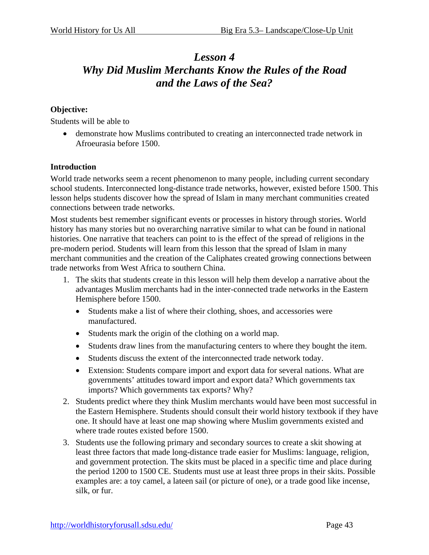# *Lesson 4 Why Did Muslim Merchants Know the Rules of the Road and the Laws of the Sea?*

#### **Objective:**

Students will be able to

• demonstrate how Muslims contributed to creating an interconnected trade network in Afroeurasia before 1500.

#### **Introduction**

World trade networks seem a recent phenomenon to many people, including current secondary school students. Interconnected long-distance trade networks, however, existed before 1500. This lesson helps students discover how the spread of Islam in many merchant communities created connections between trade networks.

Most students best remember significant events or processes in history through stories. World history has many stories but no overarching narrative similar to what can be found in national histories. One narrative that teachers can point to is the effect of the spread of religions in the pre-modern period. Students will learn from this lesson that the spread of Islam in many merchant communities and the creation of the Caliphates created growing connections between trade networks from West Africa to southern China.

- 1. The skits that students create in this lesson will help them develop a narrative about the advantages Muslim merchants had in the inter-connected trade networks in the Eastern Hemisphere before 1500.
	- Students make a list of where their clothing, shoes, and accessories were manufactured.
	- Students mark the origin of the clothing on a world map.
	- Students draw lines from the manufacturing centers to where they bought the item.
	- Students discuss the extent of the interconnected trade network today.
	- Extension: Students compare import and export data for several nations. What are governments' attitudes toward import and export data? Which governments tax imports? Which governments tax exports? Why?
- 2. Students predict where they think Muslim merchants would have been most successful in the Eastern Hemisphere. Students should consult their world history textbook if they have one. It should have at least one map showing where Muslim governments existed and where trade routes existed before 1500.
- 3. Students use the following primary and secondary sources to create a skit showing at least three factors that made long-distance trade easier for Muslims: language, religion, and government protection. The skits must be placed in a specific time and place during the period 1200 to 1500 CE. Students must use at least three props in their skits. Possible examples are: a toy camel, a lateen sail (or picture of one), or a trade good like incense, silk, or fur.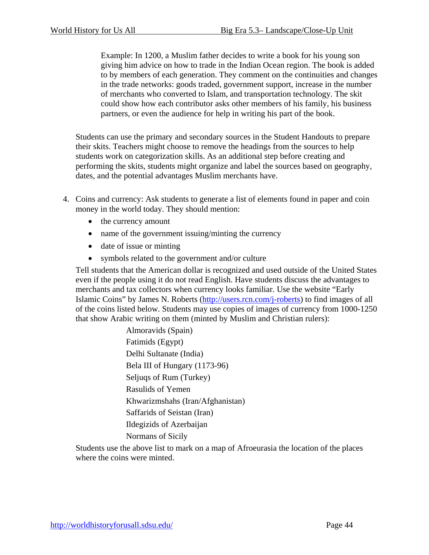Example: In 1200, a Muslim father decides to write a book for his young son giving him advice on how to trade in the Indian Ocean region. The book is added to by members of each generation. They comment on the continuities and changes in the trade networks: goods traded, government support, increase in the number of merchants who converted to Islam, and transportation technology. The skit could show how each contributor asks other members of his family, his business partners, or even the audience for help in writing his part of the book.

Students can use the primary and secondary sources in the Student Handouts to prepare their skits. Teachers might choose to remove the headings from the sources to help students work on categorization skills. As an additional step before creating and performing the skits, students might organize and label the sources based on geography, dates, and the potential advantages Muslim merchants have.

- 4. Coins and currency: Ask students to generate a list of elements found in paper and coin money in the world today. They should mention:
	- the currency amount
	- name of the government issuing/minting the currency
	- date of issue or minting
	- symbols related to the government and/or culture

Tell students that the American dollar is recognized and used outside of the United States even if the people using it do not read English. Have students discuss the advantages to merchants and tax collectors when currency looks familiar. Use the website "Early Islamic Coins" by James N. Roberts (http://users.rcn.com/j-roberts) to find images of all of the coins listed below. Students may use copies of images of currency from 1000-1250 that show Arabic writing on them (minted by Muslim and Christian rulers):

> Almoravids (Spain) Fatimids (Egypt) Delhi Sultanate (India) Bela III of Hungary (1173-96) Seljuqs of Rum (Turkey) Rasulids of Yemen Khwarizmshahs (Iran/Afghanistan) Saffarids of Seistan (Iran) Ildegizids of Azerbaijan Normans of Sicily

Students use the above list to mark on a map of Afroeurasia the location of the places where the coins were minted.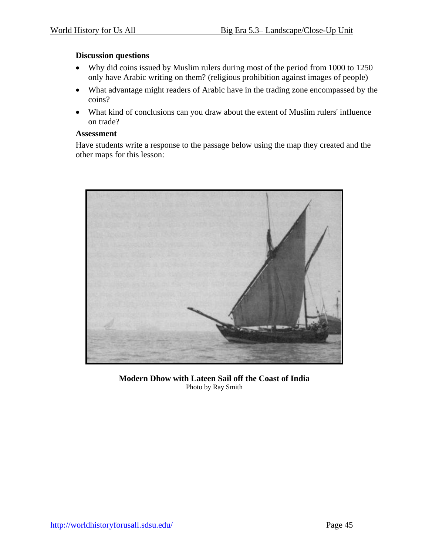#### **Discussion questions**

- Why did coins issued by Muslim rulers during most of the period from 1000 to 1250 only have Arabic writing on them? (religious prohibition against images of people)
- What advantage might readers of Arabic have in the trading zone encompassed by the coins?
- What kind of conclusions can you draw about the extent of Muslim rulers' influence on trade?

#### **Assessment**

Have students write a response to the passage below using the map they created and the other maps for this lesson:



**Modern Dhow with Lateen Sail off the Coast of India**  Photo by Ray Smith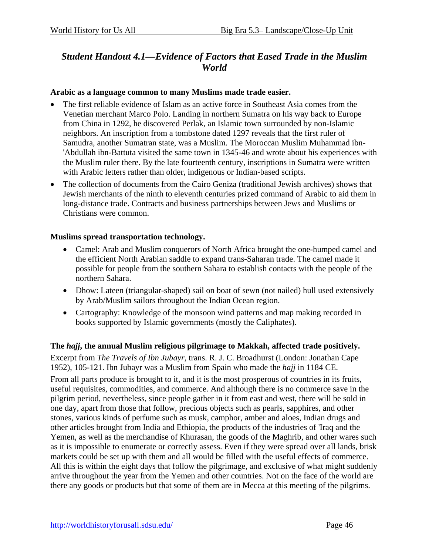## *Student Handout 4.1—Evidence of Factors that Eased Trade in the Muslim World*

#### **Arabic as a language common to many Muslims made trade easier.**

- The first reliable evidence of Islam as an active force in Southeast Asia comes from the Venetian merchant Marco Polo. Landing in northern Sumatra on his way back to Europe from China in 1292, he discovered Perlak, an Islamic town surrounded by non-Islamic neighbors. An inscription from a tombstone dated 1297 reveals that the first ruler of Samudra, another Sumatran state, was a Muslim. The Moroccan Muslim Muhammad ibn- 'Abdullah ibn-Battuta visited the same town in 1345-46 and wrote about his experiences with the Muslim ruler there. By the late fourteenth century, inscriptions in Sumatra were written with Arabic letters rather than older, indigenous or Indian-based scripts.
- The collection of documents from the Cairo Geniza (traditional Jewish archives) shows that Jewish merchants of the ninth to eleventh centuries prized command of Arabic to aid them in long-distance trade. Contracts and business partnerships between Jews and Muslims or Christians were common.

#### **Muslims spread transportation technology.**

- Camel: Arab and Muslim conquerors of North Africa brought the one-humped camel and the efficient North Arabian saddle to expand trans-Saharan trade. The camel made it possible for people from the southern Sahara to establish contacts with the people of the northern Sahara.
- Dhow: Lateen (triangular-shaped) sail on boat of sewn (not nailed) hull used extensively by Arab/Muslim sailors throughout the Indian Ocean region.
- Cartography: Knowledge of the monsoon wind patterns and map making recorded in books supported by Islamic governments (mostly the Caliphates).

#### **The** *hajj***, the annual Muslim religious pilgrimage to Makkah, affected trade positively.**

Excerpt from *The Travels of Ibn Jubayr*, trans. R. J. C. Broadhurst (London: Jonathan Cape 1952), 105-121. Ibn Jubayr was a Muslim from Spain who made the *hajj* in 1184 CE.

From all parts produce is brought to it, and it is the most prosperous of countries in its fruits, useful requisites, commodities, and commerce. And although there is no commerce save in the pilgrim period, nevertheless, since people gather in it from east and west, there will be sold in one day, apart from those that follow, precious objects such as pearls, sapphires, and other stones, various kinds of perfume such as musk, camphor, amber and aloes, Indian drugs and other articles brought from India and Ethiopia, the products of the industries of 'Iraq and the Yemen, as well as the merchandise of Khurasan, the goods of the Maghrib, and other wares such as it is impossible to enumerate or correctly assess. Even if they were spread over all lands, brisk markets could be set up with them and all would be filled with the useful effects of commerce. All this is within the eight days that follow the pilgrimage, and exclusive of what might suddenly arrive throughout the year from the Yemen and other countries. Not on the face of the world are there any goods or products but that some of them are in Mecca at this meeting of the pilgrims.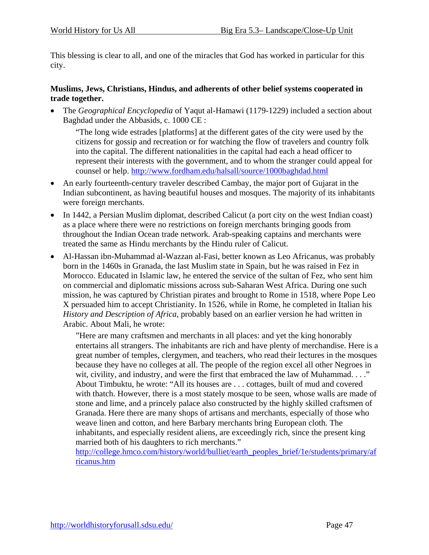This blessing is clear to all, and one of the miracles that God has worked in particular for this city.

#### **Muslims, Jews, Christians, Hindus, and adherents of other belief systems cooperated in trade together.**

• The *Geographical Encyclopedia* of Yaqut al-Hamawi (1179-1229) included a section about Baghdad under the Abbasids, c. 1000 CE :

"The long wide estrades [platforms] at the different gates of the city were used by the citizens for gossip and recreation or for watching the flow of travelers and country folk into the capital. The different nationalities in the capital had each a head officer to represent their interests with the government, and to whom the stranger could appeal for counsel or help. http://www.fordham.edu/halsall/source/1000baghdad.html

- An early fourteenth-century traveler described Cambay, the major port of Gujarat in the Indian subcontinent, as having beautiful houses and mosques. The majority of its inhabitants were foreign merchants.
- In 1442, a Persian Muslim diplomat, described Calicut (a port city on the west Indian coast) as a place where there were no restrictions on foreign merchants bringing goods from throughout the Indian Ocean trade network. Arab-speaking captains and merchants were treated the same as Hindu merchants by the Hindu ruler of Calicut.
- Al-Hassan ibn-Muhammad al-Wazzan al-Fasi, better known as Leo Africanus, was probably born in the 1460s in Granada, the last Muslim state in Spain, but he was raised in Fez in Morocco. Educated in Islamic law, he entered the service of the sultan of Fez, who sent him on commercial and diplomatic missions across sub-Saharan West Africa. During one such mission, he was captured by Christian pirates and brought to Rome in 1518, where Pope Leo X persuaded him to accept Christianity. In 1526, while in Rome, he completed in Italian his *History and Description of Africa*, probably based on an earlier version he had written in Arabic. About Mali, he wrote:

"Here are many craftsmen and merchants in all places: and yet the king honorably entertains all strangers. The inhabitants are rich and have plenty of merchandise. Here is a great number of temples, clergymen, and teachers, who read their lectures in the mosques because they have no colleges at all. The people of the region excel all other Negroes in wit, civility, and industry, and were the first that embraced the law of Muhammad. . . ." About Timbuktu, he wrote: "All its houses are . . . cottages, built of mud and covered with thatch. However, there is a most stately mosque to be seen, whose walls are made of stone and lime, and a princely palace also constructed by the highly skilled craftsmen of Granada. Here there are many shops of artisans and merchants, especially of those who weave linen and cotton, and here Barbary merchants bring European cloth. The inhabitants, and especially resident aliens, are exceedingly rich, since the present king married both of his daughters to rich merchants."

http://college.hmco.com/history/world/bulliet/earth\_peoples\_brief/1e/students/primary/af ricanus.htm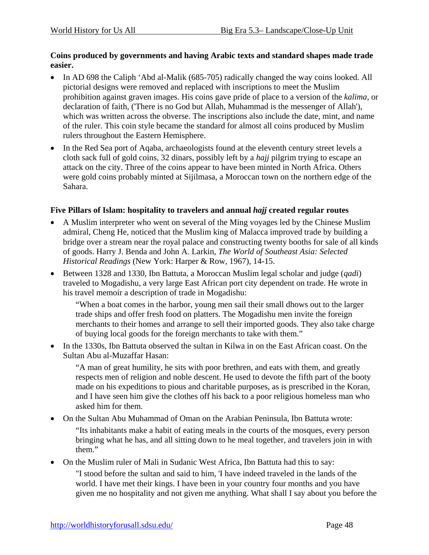#### **Coins produced by governments and having Arabic texts and standard shapes made trade easier.**

- In AD 698 the Caliph 'Abd al-Malik (685-705) radically changed the way coins looked. All pictorial designs were removed and replaced with inscriptions to meet the Muslim prohibition against graven images. His coins gave pride of place to a version of the *kalima*, or declaration of faith, ('There is no God but Allah, Muhammad is the messenger of Allah'), which was written across the obverse. The inscriptions also include the date, mint, and name of the ruler. This coin style became the standard for almost all coins produced by Muslim rulers throughout the Eastern Hemisphere.
- In the Red Sea port of Aqaba, archaeologists found at the eleventh century street levels a cloth sack full of gold coins, 32 dinars, possibly left by a *hajj* pilgrim trying to escape an attack on the city. Three of the coins appear to have been minted in North Africa. Others were gold coins probably minted at Sijilmasa, a Moroccan town on the northern edge of the Sahara.

#### **Five Pillars of Islam: hospitality to travelers and annual** *hajj* **created regular routes**

- A Muslim interpreter who went on several of the Ming voyages led by the Chinese Muslim admiral, Cheng He, noticed that the Muslim king of Malacca improved trade by building a bridge over a stream near the royal palace and constructing twenty booths for sale of all kinds of goods. Harry J. Benda and John A. Larkin, *The World of Southeast Asia: Selected Historical Readings* (New York: Harper & Row, 1967), 14-15.
- Between 1328 and 1330, Ibn Battuta, a Moroccan Muslim legal scholar and judge (*qadi*) traveled to Mogadishu, a very large East African port city dependent on trade. He wrote in his travel memoir a description of trade in Mogadishu:

"When a boat comes in the harbor, young men sail their small dhows out to the larger trade ships and offer fresh food on platters. The Mogadishu men invite the foreign merchants to their homes and arrange to sell their imported goods. They also take charge of buying local goods for the foreign merchants to take with them."

• In the 1330s, Ibn Battuta observed the sultan in Kilwa in on the East African coast. On the Sultan Abu al-Muzaffar Hasan:

"A man of great humility, he sits with poor brethren, and eats with them, and greatly respects men of religion and noble descent. He used to devote the fifth part of the booty made on his expeditions to pious and charitable purposes, as is prescribed in the Koran, and I have seen him give the clothes off his back to a poor religious homeless man who asked him for them.

• On the Sultan Abu Muhammad of Oman on the Arabian Peninsula, Ibn Battuta wrote:

"Its inhabitants make a habit of eating meals in the courts of the mosques, every person bringing what he has, and all sitting down to he meal together, and travelers join in with them."

• On the Muslim ruler of Mali in Sudanic West Africa, Ibn Battuta had this to say:

"I stood before the sultan and said to him, 'I have indeed traveled in the lands of the world. I have met their kings. I have been in your country four months and you have given me no hospitality and not given me anything. What shall I say about you before the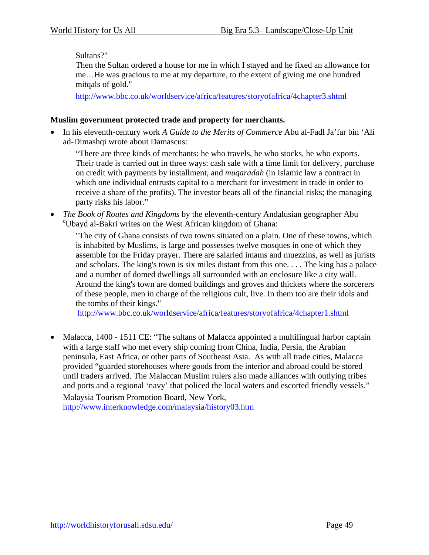Sultans?"

Then the Sultan ordered a house for me in which I stayed and he fixed an allowance for me…He was gracious to me at my departure, to the extent of giving me one hundred mitqals of gold."

http://www.bbc.co.uk/worldservice/africa/features/storyofafrica/4chapter3.shtml

#### **Muslim government protected trade and property for merchants.**

• In his eleventh-century work *A Guide to the Merits of Commerce* Abu al-Fadl Ja'far bin 'Ali ad-Dimashqi wrote about Damascus:

"There are three kinds of merchants: he who travels, he who stocks, he who exports. Their trade is carried out in three ways: cash sale with a time limit for delivery, purchase on credit with payments by installment, and *muqaradah* (in Islamic law a contract in which one individual entrusts capital to a merchant for investment in trade in order to receive a share of the profits). The investor bears all of the financial risks; the managing party risks his labor."

• *The Book of Routes and Kingdoms* by the eleventh-century Andalusian geographer Abu Ubayd al-Bakri writes on the West African kingdom of Ghana:

"The city of Ghana consists of two towns situated on a plain. One of these towns, which is inhabited by Muslims, is large and possesses twelve mosques in one of which they assemble for the Friday prayer. There are salaried imams and muezzins, as well as jurists and scholars. The king's town is six miles distant from this one. . . . The king has a palace and a number of domed dwellings all surrounded with an enclosure like a city wall. Around the king's town are domed buildings and groves and thickets where the sorcerers of these people, men in charge of the religious cult, live. In them too are their idols and the tombs of their kings."

http://www.bbc.co.uk/worldservice/africa/features/storyofafrica/4chapter1.shtml

• Malacca, 1400 - 1511 CE: "The sultans of Malacca appointed a multilingual harbor captain with a large staff who met every ship coming from China, India, Persia, the Arabian peninsula, East Africa, or other parts of Southeast Asia. As with all trade cities, Malacca provided "guarded storehouses where goods from the interior and abroad could be stored until traders arrived. The Malaccan Muslim rulers also made alliances with outlying tribes and ports and a regional 'navy' that policed the local waters and escorted friendly vessels." Malaysia Tourism Promotion Board, New York, http://www.interknowledge.com/malaysia/history03.htm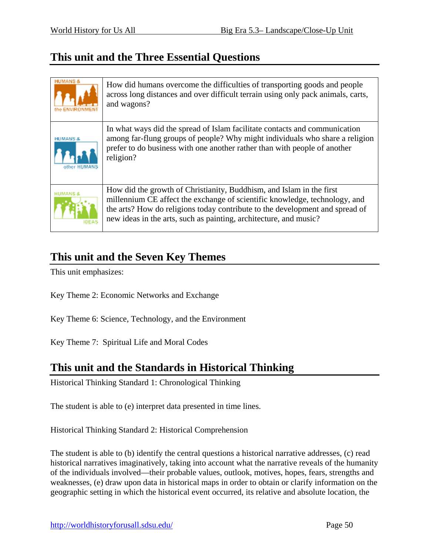## **This unit and the Three Essential Questions**

| <b>HUMANS &amp;</b>                 | How did humans overcome the difficulties of transporting goods and people<br>across long distances and over difficult terrain using only pack animals, carts,<br>and wagons?                                                                                                                            |
|-------------------------------------|---------------------------------------------------------------------------------------------------------------------------------------------------------------------------------------------------------------------------------------------------------------------------------------------------------|
| <b>HUMANS &amp;</b><br>other HUMANS | In what ways did the spread of Islam facilitate contacts and communication<br>among far-flung groups of people? Why might individuals who share a religion<br>prefer to do business with one another rather than with people of another<br>religion?                                                    |
| HUMANS &<br><b>IDEAS</b>            | How did the growth of Christianity, Buddhism, and Islam in the first<br>millennium CE affect the exchange of scientific knowledge, technology, and<br>the arts? How do religions today contribute to the development and spread of<br>new ideas in the arts, such as painting, architecture, and music? |

# **This unit and the Seven Key Themes**

This unit emphasizes:

Key Theme 2: Economic Networks and Exchange

Key Theme 6: Science, Technology, and the Environment

Key Theme 7: Spiritual Life and Moral Codes

## **This unit and the Standards in Historical Thinking**

Historical Thinking Standard 1: Chronological Thinking

The student is able to (e) interpret data presented in time lines.

Historical Thinking Standard 2: Historical Comprehension

The student is able to (b) identify the central questions a historical narrative addresses, (c) read historical narratives imaginatively, taking into account what the narrative reveals of the humanity of the individuals involved—their probable values, outlook, motives, hopes, fears, strengths and weaknesses, (e) draw upon data in historical maps in order to obtain or clarify information on the geographic setting in which the historical event occurred, its relative and absolute location, the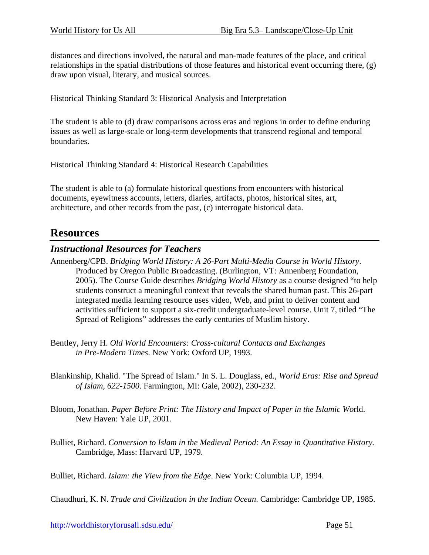distances and directions involved, the natural and man-made features of the place, and critical relationships in the spatial distributions of those features and historical event occurring there, (g) draw upon visual, literary, and musical sources.

Historical Thinking Standard 3: Historical Analysis and Interpretation

The student is able to (d) draw comparisons across eras and regions in order to define enduring issues as well as large-scale or long-term developments that transcend regional and temporal boundaries.

Historical Thinking Standard 4: Historical Research Capabilities

The student is able to (a) formulate historical questions from encounters with historical documents, eyewitness accounts, letters, diaries, artifacts, photos, historical sites, art, architecture, and other records from the past, (c) interrogate historical data.

## **Resources**

### *Instructional Resources for Teachers*

- Annenberg/CPB. *Bridging World History: A 26-Part Multi-Media Course in World History*. Produced by Oregon Public Broadcasting. (Burlington, VT: Annenberg Foundation, 2005). The Course Guide describes *Bridging World History* as a course designed "to help students construct a meaningful context that reveals the shared human past. This 26-part integrated media learning resource uses video, Web, and print to deliver content and activities sufficient to support a six-credit undergraduate-level course. Unit 7, titled "The Spread of Religions" addresses the early centuries of Muslim history.
- Bentley, Jerry H. *Old World Encounters: Cross-cultural Contacts and Exchanges in Pre-Modern Times*. New York: Oxford UP, 1993.
- Blankinship, Khalid. "The Spread of Islam." In S. L. Douglass, ed., *World Eras: Rise and Spread of Islam, 622-1500*. Farmington, MI: Gale, 2002), 230-232.
- Bloom, Jonathan. *Paper Before Print: The History and Impact of Paper in the Islamic Wo*rld. New Haven: Yale UP, 2001.
- Bulliet, Richard. *Conversion to Islam in the Medieval Period: An Essay in Quantitative History.* Cambridge, Mass: Harvard UP, 1979.

Bulliet, Richard. *Islam: the View from the Edge*. New York: Columbia UP, 1994.

Chaudhuri, K. N. *Trade and Civilization in the Indian Ocean*. Cambridge: Cambridge UP, 1985.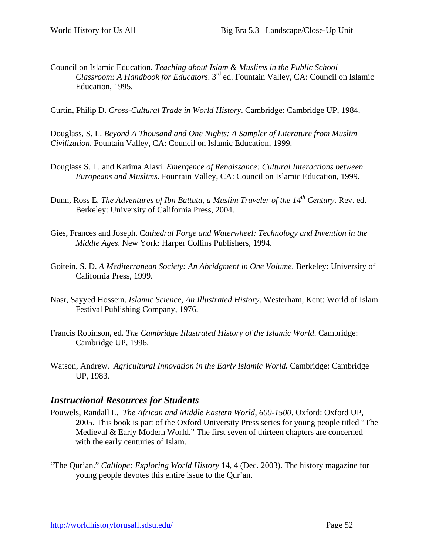Council on Islamic Education. *Teaching about Islam & Muslims in the Public School Classroom: A Handbook for Educators*. 3rd ed. Fountain Valley, CA: Council on Islamic Education, 1995.

Curtin, Philip D. *Cross-Cultural Trade in World History*. Cambridge: Cambridge UP, 1984.

Douglass, S. L. *Beyond A Thousand and One Nights: A Sampler of Literature from Muslim Civilization*. Fountain Valley, CA: Council on Islamic Education, 1999.

- Douglass S. L. and Karima Alavi. *Emergence of Renaissance: Cultural Interactions between Europeans and Muslims*. Fountain Valley, CA: Council on Islamic Education, 1999.
- Dunn, Ross E. *The Adventures of Ibn Battuta, a Muslim Traveler of the 14th Century.* Rev. ed. Berkeley: University of California Press, 2004.
- Gies, Frances and Joseph. C*athedral Forge and Waterwheel: Technology and Invention in the Middle Ages*. New York: Harper Collins Publishers, 1994.
- Goitein, S. D. *A Mediterranean Society: An Abridgment in One Volume*. Berkeley: University of California Press, 1999.
- Nasr, Sayyed Hossein. *Islamic Science, An Illustrated History*. Westerham, Kent: World of Islam Festival Publishing Company, 1976.
- Francis Robinson, ed. *The Cambridge Illustrated History of the Islamic World*. Cambridge: Cambridge UP, 1996.
- Watson, Andrew.*Agricultural Innovation in the Early Islamic World***.** Cambridge: Cambridge UP, 1983.

### *Instructional Resources for Students*

- Pouwels, Randall L. *The African and Middle Eastern World, 600-1500*. Oxford: Oxford UP, 2005. This book is part of the Oxford University Press series for young people titled "The Medieval & Early Modern World." The first seven of thirteen chapters are concerned with the early centuries of Islam.
- "The Qur'an." *Calliope: Exploring World History* 14, 4 (Dec. 2003). The history magazine for young people devotes this entire issue to the Qur'an.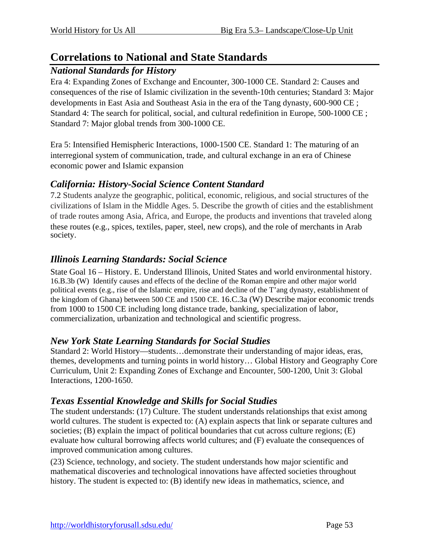## **Correlations to National and State Standards**

## *National Standards for History*

Era 4: Expanding Zones of Exchange and Encounter, 300-1000 CE. Standard 2: Causes and consequences of the rise of Islamic civilization in the seventh-10th centuries; Standard 3: Major developments in East Asia and Southeast Asia in the era of the Tang dynasty, 600-900 CE ; Standard 4: The search for political, social, and cultural redefinition in Europe, 500-1000 CE ; Standard 7: Major global trends from 300-1000 CE.

Era 5: Intensified Hemispheric Interactions, 1000-1500 CE. Standard 1: The maturing of an interregional system of communication, trade, and cultural exchange in an era of Chinese economic power and Islamic expansion

## *California: History-Social Science Content Standard*

7.2 Students analyze the geographic, political, economic, religious, and social structures of the civilizations of Islam in the Middle Ages. 5. Describe the growth of cities and the establishment of trade routes among Asia, Africa, and Europe, the products and inventions that traveled along these routes (e.g., spices, textiles, paper, steel, new crops), and the role of merchants in Arab society.

## *Illinois Learning Standards: Social Science*

State Goal 16 – History. E. Understand Illinois, United States and world environmental history. 16.B.3b (W) Identify causes and effects of the decline of the Roman empire and other major world political events (e.g., rise of the Islamic empire, rise and decline of the T'ang dynasty, establishment of the kingdom of Ghana) between 500 CE and 1500 CE. 16.C.3a (W) Describe major economic trends from 1000 to 1500 CE including long distance trade, banking, specialization of labor, commercialization, urbanization and technological and scientific progress.

## *New York State Learning Standards for Social Studies*

Standard 2: World History—students…demonstrate their understanding of major ideas, eras, themes, developments and turning points in world history… Global History and Geography Core Curriculum, Unit 2: Expanding Zones of Exchange and Encounter, 500-1200, Unit 3: Global Interactions, 1200-1650.

## *Texas Essential Knowledge and Skills for Social Studies*

The student understands: (17) Culture. The student understands relationships that exist among world cultures. The student is expected to: (A) explain aspects that link or separate cultures and societies; (B) explain the impact of political boundaries that cut across culture regions; (E) evaluate how cultural borrowing affects world cultures; and (F) evaluate the consequences of improved communication among cultures.

(23) Science, technology, and society. The student understands how major scientific and mathematical discoveries and technological innovations have affected societies throughout history. The student is expected to: (B) identify new ideas in mathematics, science, and